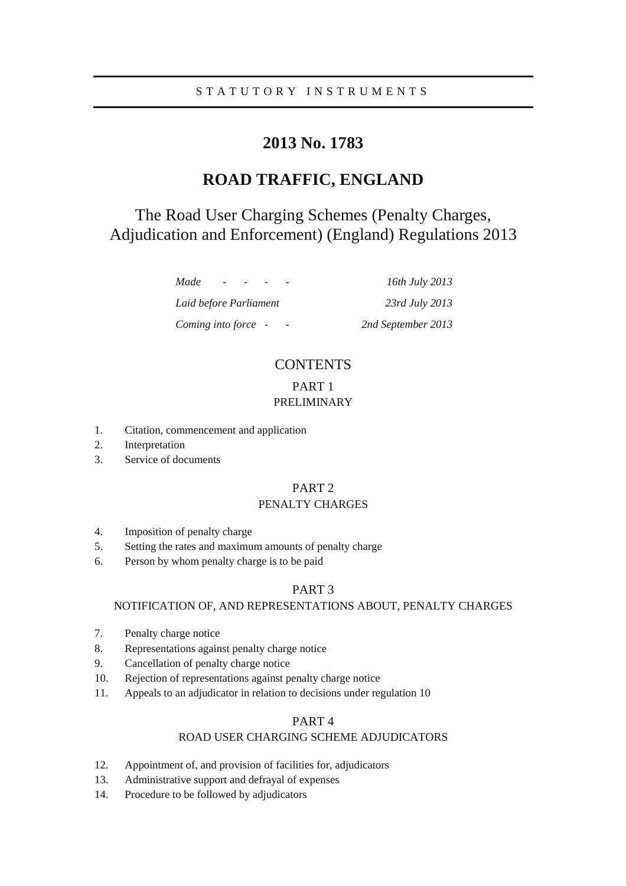# **2013 No. 1783**

# **ROAD TRAFFIC, ENGLAND**

# The Road User Charging Schemes (Penalty Charges, Adjudication and Enforcement) (England) Regulations 2013

*Made - - - - 16th July 2013 Laid before Parliament 23rd July 2013 Coming into force - - 2nd September 2013* 

# **CONTENTS**

## PART 1 PRELIMINARY

- 1. Citation, commencement and application
- 2. Interpretation
- 3. Service of documents

## PART 2

## PENALTY CHARGES

- 4. Imposition of penalty charge
- 5. Setting the rates and maximum amounts of penalty charge
- 6. Person by whom penalty charge is to be paid

## PART 3

### NOTIFICATION OF, AND REPRESENTATIONS ABOUT, PENALTY CHARGES

- 7. Penalty charge notice
- 8. Representations against penalty charge notice
- 9. Cancellation of penalty charge notice
- 10. Rejection of representations against penalty charge notice
- 11. Appeals to an adjudicator in relation to decisions under regulation 10

## PART 4

## ROAD USER CHARGING SCHEME ADJUDICATORS

- 12. Appointment of, and provision of facilities for, adjudicators
- 13. Administrative support and defrayal of expenses
- 14. Procedure to be followed by adjudicators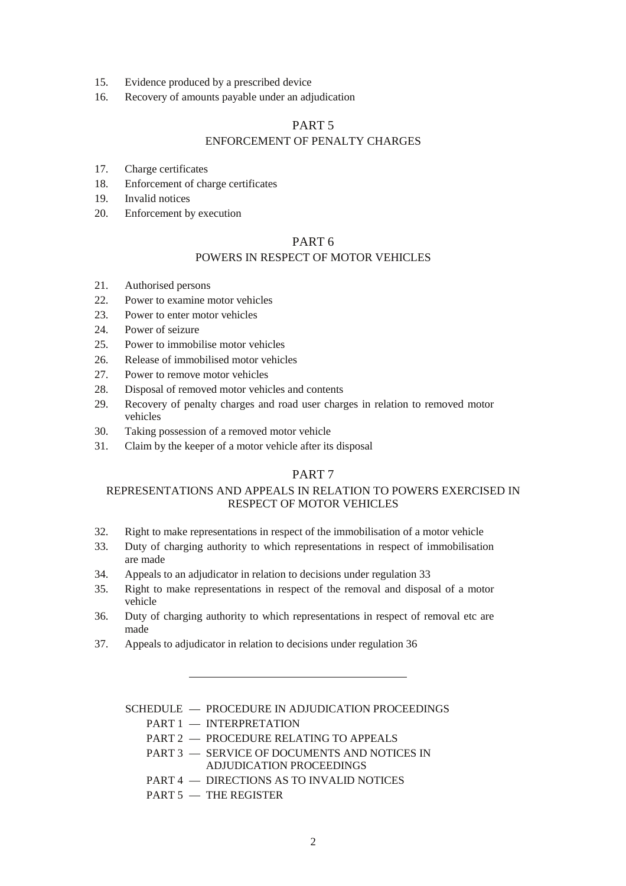- 15. Evidence produced by a prescribed device
- 16. Recovery of amounts payable under an adjudication

## PART 5

### ENFORCEMENT OF PENALTY CHARGES

- 17. Charge certificates
- 18. Enforcement of charge certificates
- 19. Invalid notices
- 20. Enforcement by execution

## PART 6

### POWERS IN RESPECT OF MOTOR VEHICLES

- 21. Authorised persons
- 22. Power to examine motor vehicles
- 23. Power to enter motor vehicles
- 24. Power of seizure
- 25. Power to immobilise motor vehicles
- 26. Release of immobilised motor vehicles
- 27. Power to remove motor vehicles
- 28. Disposal of removed motor vehicles and contents
- 29. Recovery of penalty charges and road user charges in relation to removed motor vehicles
- 30. Taking possession of a removed motor vehicle
- 31. Claim by the keeper of a motor vehicle after its disposal

### PART 7

### REPRESENTATIONS AND APPEALS IN RELATION TO POWERS EXERCISED IN RESPECT OF MOTOR VEHICLES

- 32. Right to make representations in respect of the immobilisation of a motor vehicle
- 33. Duty of charging authority to which representations in respect of immobilisation are made
- 34. Appeals to an adjudicator in relation to decisions under regulation 33
- 35. Right to make representations in respect of the removal and disposal of a motor vehicle
- 36. Duty of charging authority to which representations in respect of removal etc are made
- 37. Appeals to adjudicator in relation to decisions under regulation 36

SCHEDULE — PROCEDURE IN ADJUDICATION PROCEEDINGS

- PART 1 INTERPRETATION
- PART 2 PROCEDURE RELATING TO APPEALS
- PART 3 SERVICE OF DOCUMENTS AND NOTICES IN ADJUDICATION PROCEEDINGS
- PART 4 DIRECTIONS AS TO INVALID NOTICES
- PART 5 THE REGISTER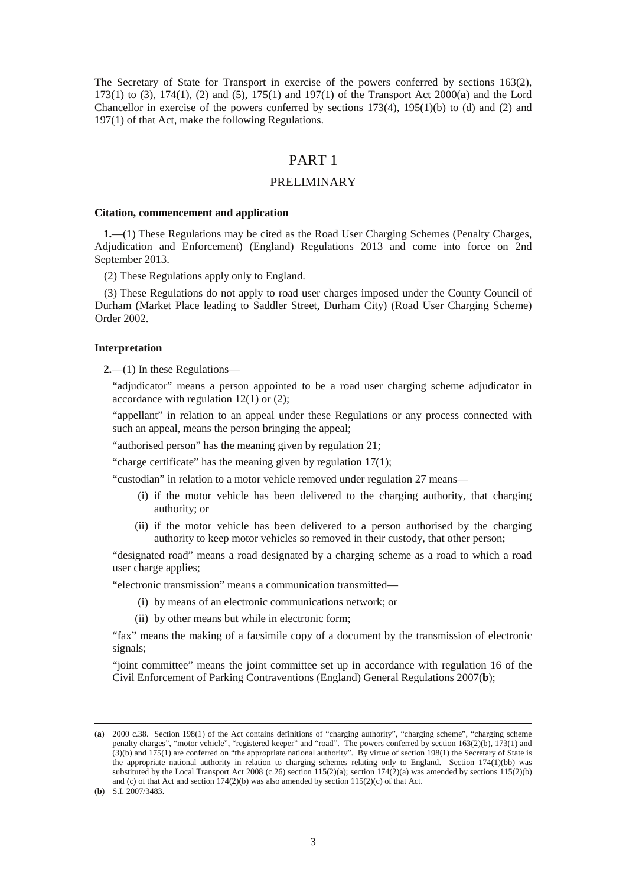The Secretary of State for Transport in exercise of the powers conferred by sections 163(2), 173(1) to (3), 174(1), (2) and (5), 175(1) and 197(1) of the Transport Act 2000(**a**) and the Lord Chancellor in exercise of the powers conferred by sections 173(4), 195(1)(b) to (d) and (2) and 197(1) of that Act, make the following Regulations.

## PART 1

### PRELIMINARY

#### **Citation, commencement and application**

**1.**—(1) These Regulations may be cited as the Road User Charging Schemes (Penalty Charges, Adjudication and Enforcement) (England) Regulations 2013 and come into force on 2nd September 2013.

(2) These Regulations apply only to England.

(3) These Regulations do not apply to road user charges imposed under the County Council of Durham (Market Place leading to Saddler Street, Durham City) (Road User Charging Scheme) Order 2002.

#### **Interpretation**

**2.**—(1) In these Regulations—

"adjudicator" means a person appointed to be a road user charging scheme adjudicator in accordance with regulation  $12(1)$  or  $(2)$ ;

"appellant" in relation to an appeal under these Regulations or any process connected with such an appeal, means the person bringing the appeal;

"authorised person" has the meaning given by regulation 21;

"charge certificate" has the meaning given by regulation 17(1);

"custodian" in relation to a motor vehicle removed under regulation 27 means—

- (i) if the motor vehicle has been delivered to the charging authority, that charging authority; or
- (ii) if the motor vehicle has been delivered to a person authorised by the charging authority to keep motor vehicles so removed in their custody, that other person;

"designated road" means a road designated by a charging scheme as a road to which a road user charge applies;

"electronic transmission" means a communication transmitted—

- (i) by means of an electronic communications network; or
- (ii) by other means but while in electronic form;

"fax" means the making of a facsimile copy of a document by the transmission of electronic signals;

"joint committee" means the joint committee set up in accordance with regulation 16 of the Civil Enforcement of Parking Contraventions (England) General Regulations 2007(**b**);

<sup>(</sup>**a**) 2000 c.38. Section 198(1) of the Act contains definitions of "charging authority", "charging scheme", "charging scheme penalty charges", "motor vehicle", "registered keeper" and "road". The powers conferred by section 163(2)(b), 173(1) and (3)(b) and 175(1) are conferred on "the appropriate national authority". By virtue of section 198(1) the Secretary of State is the appropriate national authority in relation to charging schemes relating only to England. Section 174(1)(bb) was substituted by the Local Transport Act 2008 (c.26) section 115(2)(a); section 174(2)(a) was amended by sections  $115(2)(b)$ and (c) of that Act and section  $174(2)(b)$  was also amended by section  $115(2)(c)$  of that Act.

<sup>(</sup>**b**) S.I. 2007/3483.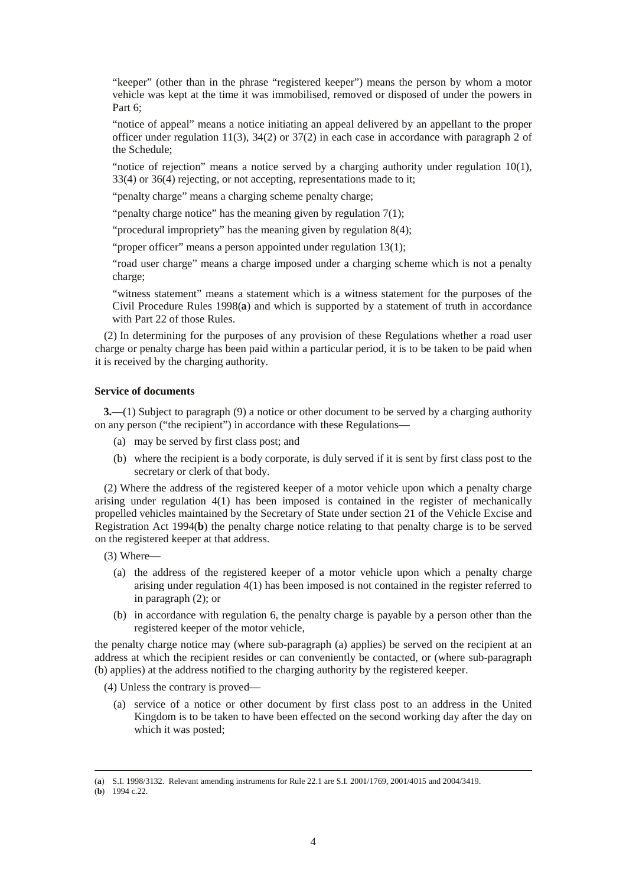"keeper" (other than in the phrase "registered keeper") means the person by whom a motor vehicle was kept at the time it was immobilised, removed or disposed of under the powers in Part 6:

"notice of appeal" means a notice initiating an appeal delivered by an appellant to the proper officer under regulation 11(3),  $34(2)$  or  $37(2)$  in each case in accordance with paragraph 2 of the Schedule;

"notice of rejection" means a notice served by a charging authority under regulation 10(1), 33(4) or 36(4) rejecting, or not accepting, representations made to it;

"penalty charge" means a charging scheme penalty charge;

"penalty charge notice" has the meaning given by regulation  $7(1)$ ;

"procedural impropriety" has the meaning given by regulation 8(4);

"proper officer" means a person appointed under regulation 13(1);

"road user charge" means a charge imposed under a charging scheme which is not a penalty charge;

"witness statement" means a statement which is a witness statement for the purposes of the Civil Procedure Rules 1998(**a**) and which is supported by a statement of truth in accordance with Part 22 of those Rules.

(2) In determining for the purposes of any provision of these Regulations whether a road user charge or penalty charge has been paid within a particular period, it is to be taken to be paid when it is received by the charging authority.

### **Service of documents**

**3.**—(1) Subject to paragraph (9) a notice or other document to be served by a charging authority on any person ("the recipient") in accordance with these Regulations—

- (a) may be served by first class post; and
- (b) where the recipient is a body corporate, is duly served if it is sent by first class post to the secretary or clerk of that body.

(2) Where the address of the registered keeper of a motor vehicle upon which a penalty charge arising under regulation 4(1) has been imposed is contained in the register of mechanically propelled vehicles maintained by the Secretary of State under section 21 of the Vehicle Excise and Registration Act 1994(**b**) the penalty charge notice relating to that penalty charge is to be served on the registered keeper at that address.

(3) Where—

- (a) the address of the registered keeper of a motor vehicle upon which a penalty charge arising under regulation 4(1) has been imposed is not contained in the register referred to in paragraph (2); or
- (b) in accordance with regulation 6, the penalty charge is payable by a person other than the registered keeper of the motor vehicle,

the penalty charge notice may (where sub-paragraph (a) applies) be served on the recipient at an address at which the recipient resides or can conveniently be contacted, or (where sub-paragraph (b) applies) at the address notified to the charging authority by the registered keeper.

(4) Unless the contrary is proved—

(a) service of a notice or other document by first class post to an address in the United Kingdom is to be taken to have been effected on the second working day after the day on which it was posted;

<sup>(</sup>**a**) S.I. 1998/3132. Relevant amending instruments for Rule 22.1 are S.I. 2001/1769, 2001/4015 and 2004/3419.

<sup>(</sup>**b**) 1994 c.22.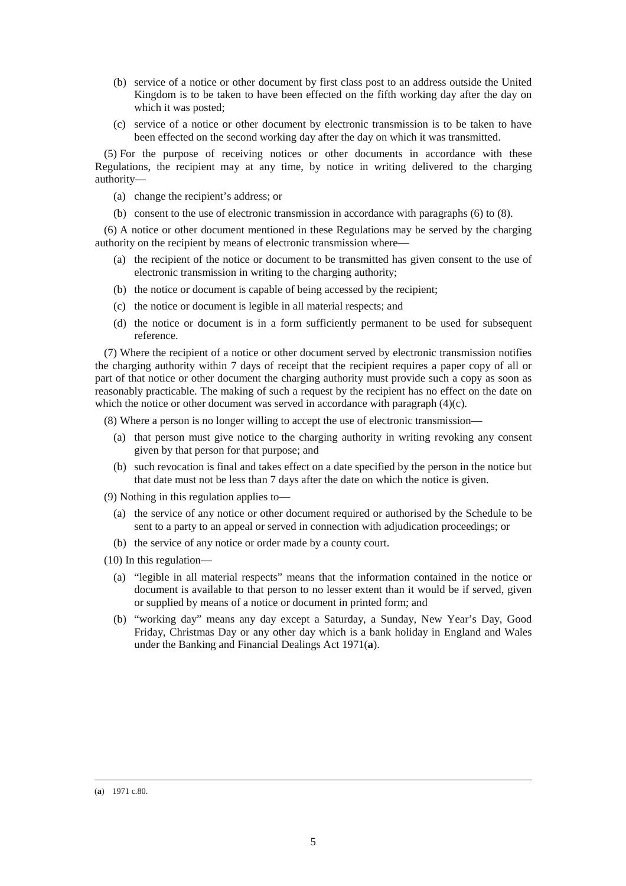- (b) service of a notice or other document by first class post to an address outside the United Kingdom is to be taken to have been effected on the fifth working day after the day on which it was posted;
- (c) service of a notice or other document by electronic transmission is to be taken to have been effected on the second working day after the day on which it was transmitted.

(5) For the purpose of receiving notices or other documents in accordance with these Regulations, the recipient may at any time, by notice in writing delivered to the charging authority—

- (a) change the recipient's address; or
- (b) consent to the use of electronic transmission in accordance with paragraphs (6) to (8).

(6) A notice or other document mentioned in these Regulations may be served by the charging authority on the recipient by means of electronic transmission where—

- (a) the recipient of the notice or document to be transmitted has given consent to the use of electronic transmission in writing to the charging authority;
- (b) the notice or document is capable of being accessed by the recipient;
- (c) the notice or document is legible in all material respects; and
- (d) the notice or document is in a form sufficiently permanent to be used for subsequent reference.

(7) Where the recipient of a notice or other document served by electronic transmission notifies the charging authority within 7 days of receipt that the recipient requires a paper copy of all or part of that notice or other document the charging authority must provide such a copy as soon as reasonably practicable. The making of such a request by the recipient has no effect on the date on which the notice or other document was served in accordance with paragraph (4)(c).

(8) Where a person is no longer willing to accept the use of electronic transmission—

- (a) that person must give notice to the charging authority in writing revoking any consent given by that person for that purpose; and
- (b) such revocation is final and takes effect on a date specified by the person in the notice but that date must not be less than 7 days after the date on which the notice is given.

(9) Nothing in this regulation applies to—

- (a) the service of any notice or other document required or authorised by the Schedule to be sent to a party to an appeal or served in connection with adjudication proceedings; or
- (b) the service of any notice or order made by a county court.

(10) In this regulation—

- (a) "legible in all material respects" means that the information contained in the notice or document is available to that person to no lesser extent than it would be if served, given or supplied by means of a notice or document in printed form; and
- (b) "working day" means any day except a Saturday, a Sunday, New Year's Day, Good Friday, Christmas Day or any other day which is a bank holiday in England and Wales under the Banking and Financial Dealings Act 1971(**a**).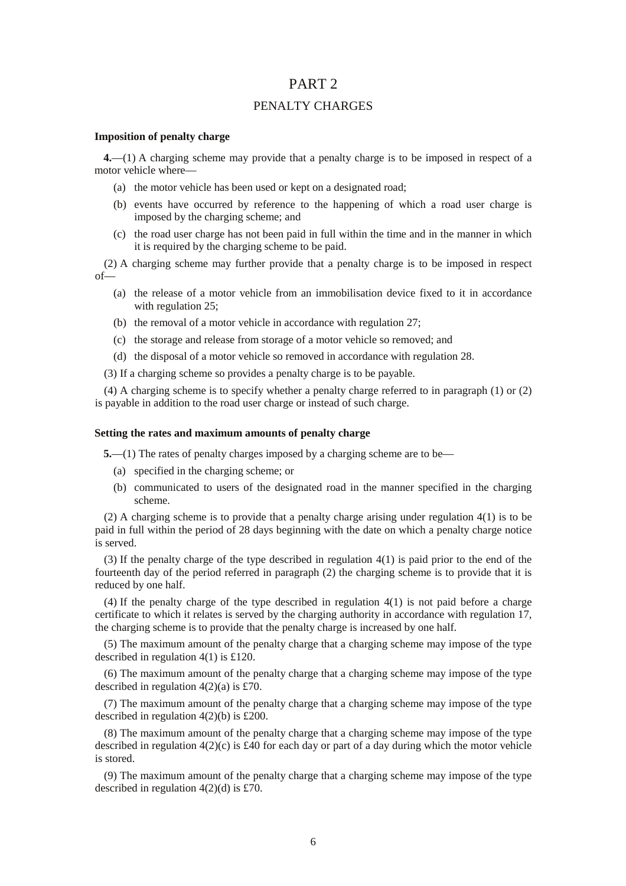## PART 2

### PENALTY CHARGES

#### **Imposition of penalty charge**

**4.**—(1) A charging scheme may provide that a penalty charge is to be imposed in respect of a motor vehicle where—

- (a) the motor vehicle has been used or kept on a designated road;
- (b) events have occurred by reference to the happening of which a road user charge is imposed by the charging scheme; and
- (c) the road user charge has not been paid in full within the time and in the manner in which it is required by the charging scheme to be paid.

(2) A charging scheme may further provide that a penalty charge is to be imposed in respect of—

- (a) the release of a motor vehicle from an immobilisation device fixed to it in accordance with regulation 25:
- (b) the removal of a motor vehicle in accordance with regulation 27;
- (c) the storage and release from storage of a motor vehicle so removed; and
- (d) the disposal of a motor vehicle so removed in accordance with regulation 28.
- (3) If a charging scheme so provides a penalty charge is to be payable.

(4) A charging scheme is to specify whether a penalty charge referred to in paragraph (1) or (2) is payable in addition to the road user charge or instead of such charge.

### **Setting the rates and maximum amounts of penalty charge**

**5.**—(1) The rates of penalty charges imposed by a charging scheme are to be—

- (a) specified in the charging scheme; or
- (b) communicated to users of the designated road in the manner specified in the charging scheme.

(2) A charging scheme is to provide that a penalty charge arising under regulation 4(1) is to be paid in full within the period of 28 days beginning with the date on which a penalty charge notice is served.

(3) If the penalty charge of the type described in regulation 4(1) is paid prior to the end of the fourteenth day of the period referred in paragraph (2) the charging scheme is to provide that it is reduced by one half.

(4) If the penalty charge of the type described in regulation 4(1) is not paid before a charge certificate to which it relates is served by the charging authority in accordance with regulation 17, the charging scheme is to provide that the penalty charge is increased by one half.

(5) The maximum amount of the penalty charge that a charging scheme may impose of the type described in regulation 4(1) is £120.

(6) The maximum amount of the penalty charge that a charging scheme may impose of the type described in regulation  $4(2)(a)$  is £70.

(7) The maximum amount of the penalty charge that a charging scheme may impose of the type described in regulation 4(2)(b) is £200.

(8) The maximum amount of the penalty charge that a charging scheme may impose of the type described in regulation  $4(2)(c)$  is £40 for each day or part of a day during which the motor vehicle is stored.

(9) The maximum amount of the penalty charge that a charging scheme may impose of the type described in regulation 4(2)(d) is £70.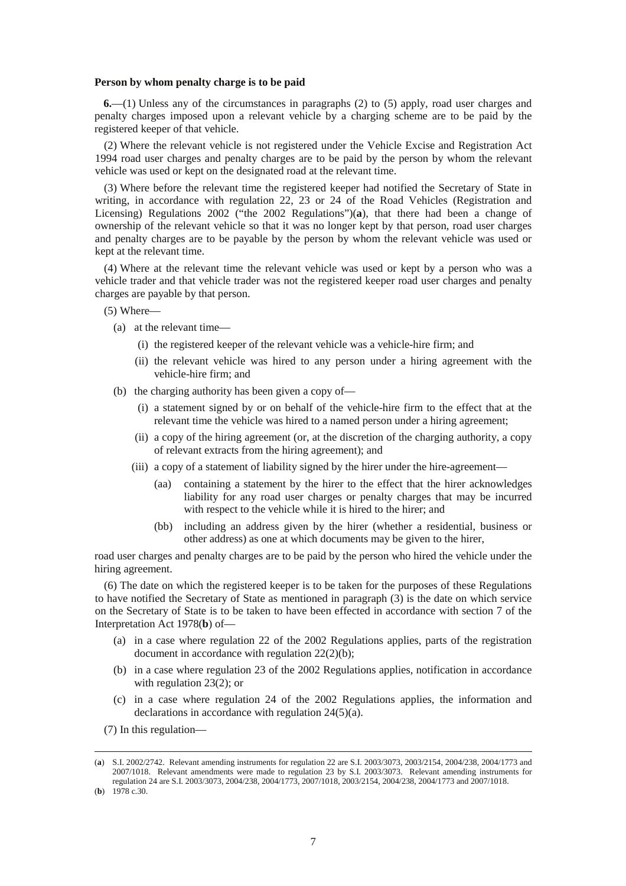#### **Person by whom penalty charge is to be paid**

**6.**—(1) Unless any of the circumstances in paragraphs (2) to (5) apply, road user charges and penalty charges imposed upon a relevant vehicle by a charging scheme are to be paid by the registered keeper of that vehicle.

(2) Where the relevant vehicle is not registered under the Vehicle Excise and Registration Act 1994 road user charges and penalty charges are to be paid by the person by whom the relevant vehicle was used or kept on the designated road at the relevant time.

(3) Where before the relevant time the registered keeper had notified the Secretary of State in writing, in accordance with regulation 22, 23 or 24 of the Road Vehicles (Registration and Licensing) Regulations 2002 ("the 2002 Regulations")(**a**), that there had been a change of ownership of the relevant vehicle so that it was no longer kept by that person, road user charges and penalty charges are to be payable by the person by whom the relevant vehicle was used or kept at the relevant time.

(4) Where at the relevant time the relevant vehicle was used or kept by a person who was a vehicle trader and that vehicle trader was not the registered keeper road user charges and penalty charges are payable by that person.

(5) Where—

- (a) at the relevant time—
	- (i) the registered keeper of the relevant vehicle was a vehicle-hire firm; and
	- (ii) the relevant vehicle was hired to any person under a hiring agreement with the vehicle-hire firm; and
- (b) the charging authority has been given a copy of—
	- (i) a statement signed by or on behalf of the vehicle-hire firm to the effect that at the relevant time the vehicle was hired to a named person under a hiring agreement;
	- (ii) a copy of the hiring agreement (or, at the discretion of the charging authority, a copy of relevant extracts from the hiring agreement); and
	- (iii) a copy of a statement of liability signed by the hirer under the hire-agreement—
		- (aa) containing a statement by the hirer to the effect that the hirer acknowledges liability for any road user charges or penalty charges that may be incurred with respect to the vehicle while it is hired to the hirer; and
		- (bb) including an address given by the hirer (whether a residential, business or other address) as one at which documents may be given to the hirer,

road user charges and penalty charges are to be paid by the person who hired the vehicle under the hiring agreement.

(6) The date on which the registered keeper is to be taken for the purposes of these Regulations to have notified the Secretary of State as mentioned in paragraph (3) is the date on which service on the Secretary of State is to be taken to have been effected in accordance with section 7 of the Interpretation Act 1978(**b**) of—

- (a) in a case where regulation 22 of the 2002 Regulations applies, parts of the registration document in accordance with regulation 22(2)(b);
- (b) in a case where regulation 23 of the 2002 Regulations applies, notification in accordance with regulation 23(2); or
- (c) in a case where regulation 24 of the 2002 Regulations applies, the information and declarations in accordance with regulation 24(5)(a).
- (7) In this regulation—

<sup>(</sup>**a**) S.I. 2002/2742. Relevant amending instruments for regulation 22 are S.I. 2003/3073, 2003/2154, 2004/238, 2004/1773 and 2007/1018. Relevant amendments were made to regulation 23 by S.I. 2003/3073. Relevant amending instruments for regulation 24 are S.I. 2003/3073, 2004/238, 2004/1773, 2007/1018, 2003/2154, 2004/238, 2004/1773 and 2007/1018.

<sup>(</sup>**b**) 1978 c.30.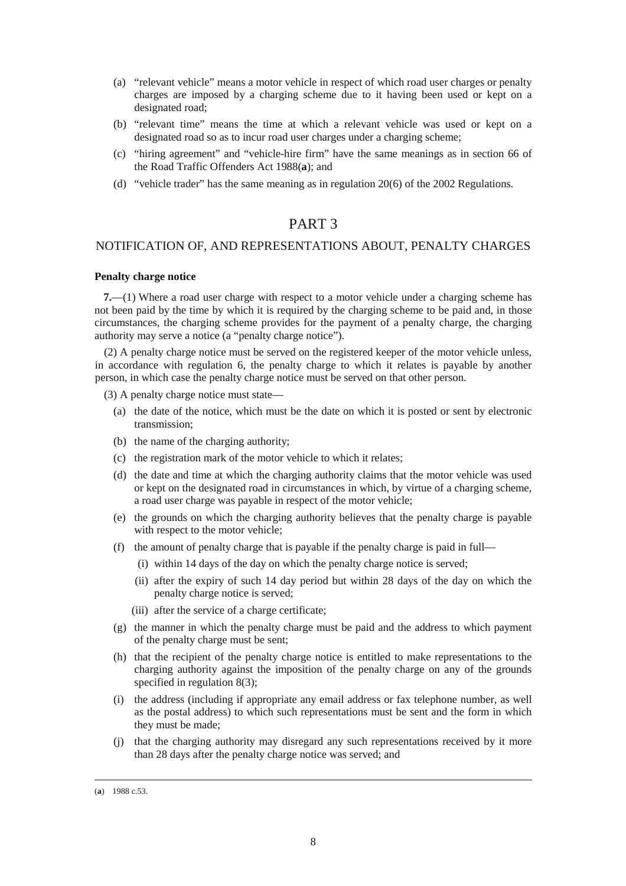- (a) "relevant vehicle" means a motor vehicle in respect of which road user charges or penalty charges are imposed by a charging scheme due to it having been used or kept on a designated road;
- (b) "relevant time" means the time at which a relevant vehicle was used or kept on a designated road so as to incur road user charges under a charging scheme;
- (c) "hiring agreement" and "vehicle-hire firm" have the same meanings as in section 66 of the Road Traffic Offenders Act 1988(**a**); and
- (d) "vehicle trader" has the same meaning as in regulation 20(6) of the 2002 Regulations.

## PART 3

## NOTIFICATION OF, AND REPRESENTATIONS ABOUT, PENALTY CHARGES

### **Penalty charge notice**

**7.**—(1) Where a road user charge with respect to a motor vehicle under a charging scheme has not been paid by the time by which it is required by the charging scheme to be paid and, in those circumstances, the charging scheme provides for the payment of a penalty charge, the charging authority may serve a notice (a "penalty charge notice").

(2) A penalty charge notice must be served on the registered keeper of the motor vehicle unless, in accordance with regulation 6, the penalty charge to which it relates is payable by another person, in which case the penalty charge notice must be served on that other person.

(3) A penalty charge notice must state—

- (a) the date of the notice, which must be the date on which it is posted or sent by electronic transmission;
- (b) the name of the charging authority;
- (c) the registration mark of the motor vehicle to which it relates;
- (d) the date and time at which the charging authority claims that the motor vehicle was used or kept on the designated road in circumstances in which, by virtue of a charging scheme, a road user charge was payable in respect of the motor vehicle;
- (e) the grounds on which the charging authority believes that the penalty charge is payable with respect to the motor vehicle;
- (f) the amount of penalty charge that is payable if the penalty charge is paid in full—
	- (i) within 14 days of the day on which the penalty charge notice is served;
	- (ii) after the expiry of such 14 day period but within 28 days of the day on which the penalty charge notice is served;
	- (iii) after the service of a charge certificate;
- (g) the manner in which the penalty charge must be paid and the address to which payment of the penalty charge must be sent;
- (h) that the recipient of the penalty charge notice is entitled to make representations to the charging authority against the imposition of the penalty charge on any of the grounds specified in regulation 8(3);
- (i) the address (including if appropriate any email address or fax telephone number, as well as the postal address) to which such representations must be sent and the form in which they must be made;
- (j) that the charging authority may disregard any such representations received by it more than 28 days after the penalty charge notice was served; and

<sup>(</sup>**a**) 1988 c.53.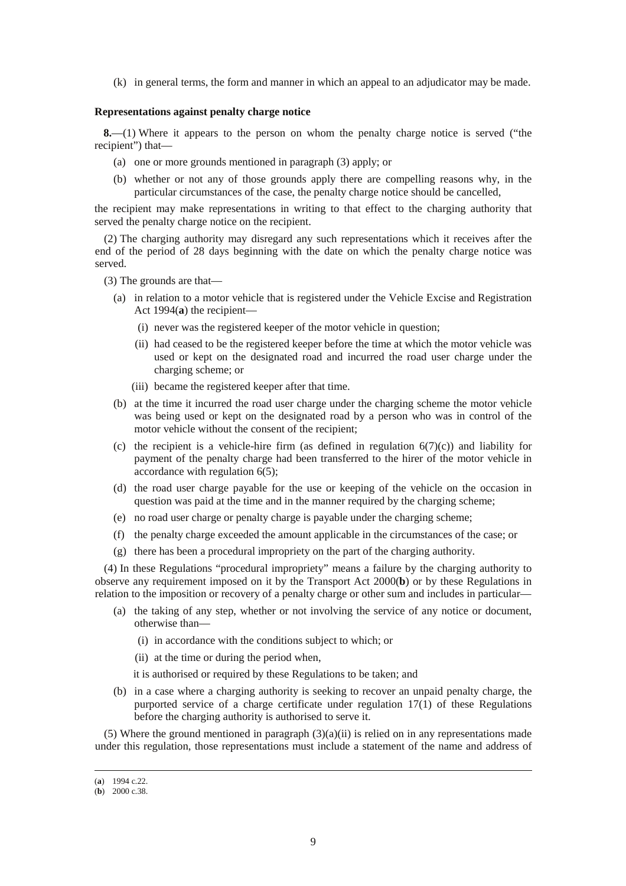(k) in general terms, the form and manner in which an appeal to an adjudicator may be made.

#### **Representations against penalty charge notice**

**8.**—(1) Where it appears to the person on whom the penalty charge notice is served ("the recipient") that—

- (a) one or more grounds mentioned in paragraph (3) apply; or
- (b) whether or not any of those grounds apply there are compelling reasons why, in the particular circumstances of the case, the penalty charge notice should be cancelled,

the recipient may make representations in writing to that effect to the charging authority that served the penalty charge notice on the recipient.

(2) The charging authority may disregard any such representations which it receives after the end of the period of 28 days beginning with the date on which the penalty charge notice was served.

(3) The grounds are that—

- (a) in relation to a motor vehicle that is registered under the Vehicle Excise and Registration Act 1994(**a**) the recipient—
	- (i) never was the registered keeper of the motor vehicle in question;
	- (ii) had ceased to be the registered keeper before the time at which the motor vehicle was used or kept on the designated road and incurred the road user charge under the charging scheme; or
	- (iii) became the registered keeper after that time.
- (b) at the time it incurred the road user charge under the charging scheme the motor vehicle was being used or kept on the designated road by a person who was in control of the motor vehicle without the consent of the recipient;
- (c) the recipient is a vehicle-hire firm (as defined in regulation  $6(7)(c)$ ) and liability for payment of the penalty charge had been transferred to the hirer of the motor vehicle in accordance with regulation  $6(5)$ ;
- (d) the road user charge payable for the use or keeping of the vehicle on the occasion in question was paid at the time and in the manner required by the charging scheme;
- (e) no road user charge or penalty charge is payable under the charging scheme;
- (f) the penalty charge exceeded the amount applicable in the circumstances of the case; or
- (g) there has been a procedural impropriety on the part of the charging authority.

(4) In these Regulations "procedural impropriety" means a failure by the charging authority to observe any requirement imposed on it by the Transport Act 2000(**b**) or by these Regulations in relation to the imposition or recovery of a penalty charge or other sum and includes in particular—

- (a) the taking of any step, whether or not involving the service of any notice or document, otherwise than—
	- (i) in accordance with the conditions subject to which; or
	- (ii) at the time or during the period when,

it is authorised or required by these Regulations to be taken; and

(b) in a case where a charging authority is seeking to recover an unpaid penalty charge, the purported service of a charge certificate under regulation 17(1) of these Regulations before the charging authority is authorised to serve it.

(5) Where the ground mentioned in paragraph  $(3)(a)(ii)$  is relied on in any representations made under this regulation, those representations must include a statement of the name and address of

<sup>(</sup>**a**) 1994 c.22.

<sup>(</sup>**b**) 2000 c.38.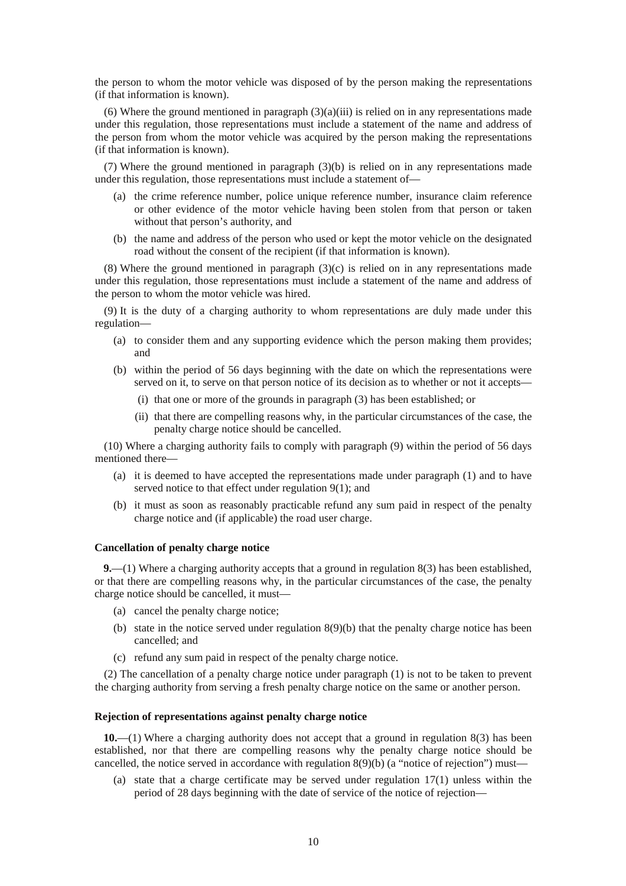the person to whom the motor vehicle was disposed of by the person making the representations (if that information is known).

(6) Where the ground mentioned in paragraph  $(3)(a)(iii)$  is relied on in any representations made under this regulation, those representations must include a statement of the name and address of the person from whom the motor vehicle was acquired by the person making the representations (if that information is known).

(7) Where the ground mentioned in paragraph (3)(b) is relied on in any representations made under this regulation, those representations must include a statement of—

- (a) the crime reference number, police unique reference number, insurance claim reference or other evidence of the motor vehicle having been stolen from that person or taken without that person's authority, and
- (b) the name and address of the person who used or kept the motor vehicle on the designated road without the consent of the recipient (if that information is known).

(8) Where the ground mentioned in paragraph  $(3)(c)$  is relied on in any representations made under this regulation, those representations must include a statement of the name and address of the person to whom the motor vehicle was hired.

(9) It is the duty of a charging authority to whom representations are duly made under this regulation—

- (a) to consider them and any supporting evidence which the person making them provides; and
- (b) within the period of 56 days beginning with the date on which the representations were served on it, to serve on that person notice of its decision as to whether or not it accepts—
	- (i) that one or more of the grounds in paragraph (3) has been established; or
	- (ii) that there are compelling reasons why, in the particular circumstances of the case, the penalty charge notice should be cancelled.

(10) Where a charging authority fails to comply with paragraph (9) within the period of 56 days mentioned there—

- (a) it is deemed to have accepted the representations made under paragraph (1) and to have served notice to that effect under regulation 9(1); and
- (b) it must as soon as reasonably practicable refund any sum paid in respect of the penalty charge notice and (if applicable) the road user charge.

#### **Cancellation of penalty charge notice**

**9.**—(1) Where a charging authority accepts that a ground in regulation 8(3) has been established, or that there are compelling reasons why, in the particular circumstances of the case, the penalty charge notice should be cancelled, it must—

- (a) cancel the penalty charge notice;
- (b) state in the notice served under regulation 8(9)(b) that the penalty charge notice has been cancelled; and
- (c) refund any sum paid in respect of the penalty charge notice.

(2) The cancellation of a penalty charge notice under paragraph (1) is not to be taken to prevent the charging authority from serving a fresh penalty charge notice on the same or another person.

#### **Rejection of representations against penalty charge notice**

**10.**—(1) Where a charging authority does not accept that a ground in regulation 8(3) has been established, nor that there are compelling reasons why the penalty charge notice should be cancelled, the notice served in accordance with regulation 8(9)(b) (a "notice of rejection") must—

(a) state that a charge certificate may be served under regulation 17(1) unless within the period of 28 days beginning with the date of service of the notice of rejection—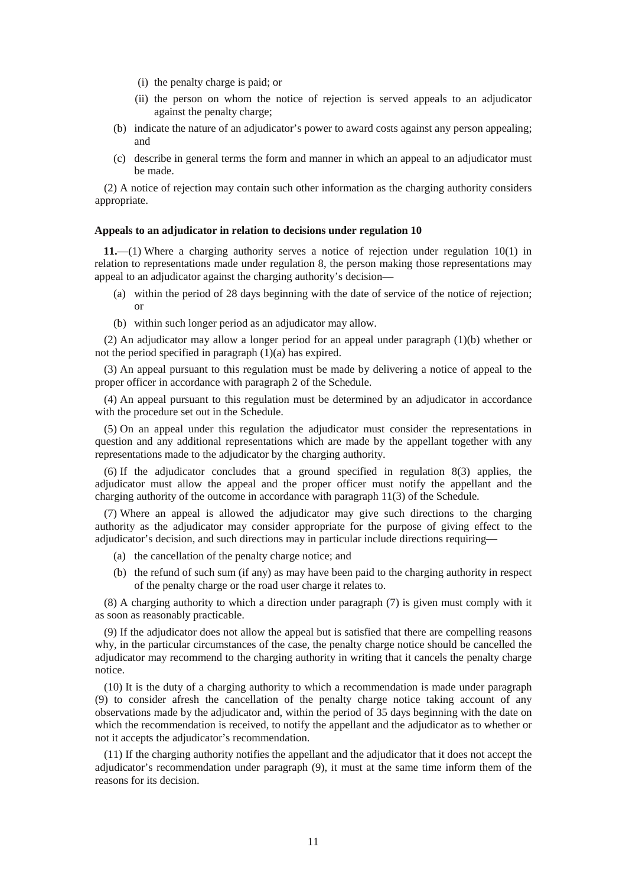- (i) the penalty charge is paid; or
- (ii) the person on whom the notice of rejection is served appeals to an adjudicator against the penalty charge;
- (b) indicate the nature of an adjudicator's power to award costs against any person appealing; and
- (c) describe in general terms the form and manner in which an appeal to an adjudicator must be made.

(2) A notice of rejection may contain such other information as the charging authority considers appropriate.

#### **Appeals to an adjudicator in relation to decisions under regulation 10**

**11.**—(1) Where a charging authority serves a notice of rejection under regulation 10(1) in relation to representations made under regulation 8, the person making those representations may appeal to an adjudicator against the charging authority's decision—

- (a) within the period of 28 days beginning with the date of service of the notice of rejection; or
- (b) within such longer period as an adjudicator may allow.

(2) An adjudicator may allow a longer period for an appeal under paragraph (1)(b) whether or not the period specified in paragraph (1)(a) has expired.

(3) An appeal pursuant to this regulation must be made by delivering a notice of appeal to the proper officer in accordance with paragraph 2 of the Schedule.

(4) An appeal pursuant to this regulation must be determined by an adjudicator in accordance with the procedure set out in the Schedule.

(5) On an appeal under this regulation the adjudicator must consider the representations in question and any additional representations which are made by the appellant together with any representations made to the adjudicator by the charging authority.

(6) If the adjudicator concludes that a ground specified in regulation 8(3) applies, the adjudicator must allow the appeal and the proper officer must notify the appellant and the charging authority of the outcome in accordance with paragraph 11(3) of the Schedule.

(7) Where an appeal is allowed the adjudicator may give such directions to the charging authority as the adjudicator may consider appropriate for the purpose of giving effect to the adjudicator's decision, and such directions may in particular include directions requiring—

- (a) the cancellation of the penalty charge notice; and
- (b) the refund of such sum (if any) as may have been paid to the charging authority in respect of the penalty charge or the road user charge it relates to.

(8) A charging authority to which a direction under paragraph (7) is given must comply with it as soon as reasonably practicable.

(9) If the adjudicator does not allow the appeal but is satisfied that there are compelling reasons why, in the particular circumstances of the case, the penalty charge notice should be cancelled the adjudicator may recommend to the charging authority in writing that it cancels the penalty charge notice.

(10) It is the duty of a charging authority to which a recommendation is made under paragraph (9) to consider afresh the cancellation of the penalty charge notice taking account of any observations made by the adjudicator and, within the period of 35 days beginning with the date on which the recommendation is received, to notify the appellant and the adjudicator as to whether or not it accepts the adjudicator's recommendation.

(11) If the charging authority notifies the appellant and the adjudicator that it does not accept the adjudicator's recommendation under paragraph (9), it must at the same time inform them of the reasons for its decision.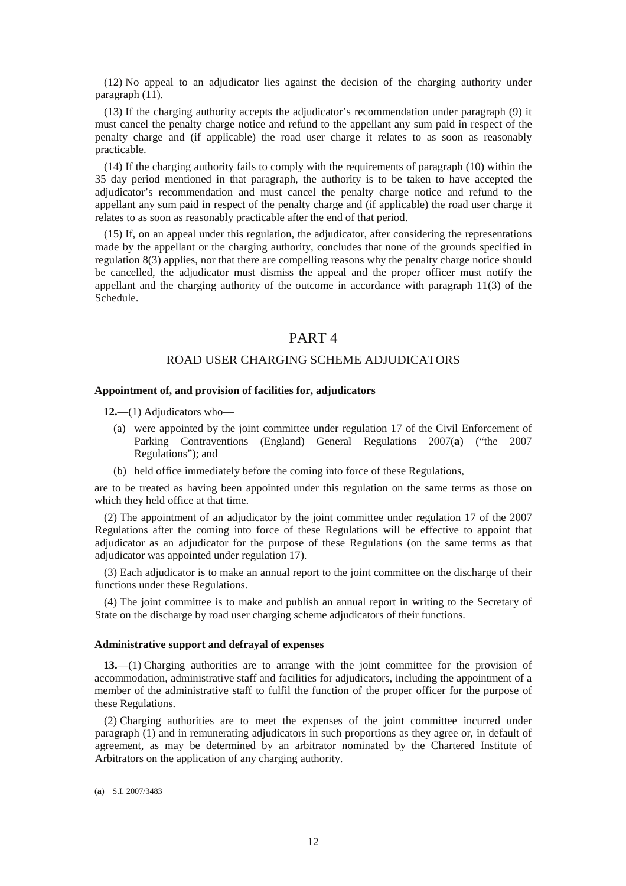(12) No appeal to an adjudicator lies against the decision of the charging authority under paragraph (11).

(13) If the charging authority accepts the adjudicator's recommendation under paragraph (9) it must cancel the penalty charge notice and refund to the appellant any sum paid in respect of the penalty charge and (if applicable) the road user charge it relates to as soon as reasonably practicable.

(14) If the charging authority fails to comply with the requirements of paragraph (10) within the 35 day period mentioned in that paragraph, the authority is to be taken to have accepted the adjudicator's recommendation and must cancel the penalty charge notice and refund to the appellant any sum paid in respect of the penalty charge and (if applicable) the road user charge it relates to as soon as reasonably practicable after the end of that period.

(15) If, on an appeal under this regulation, the adjudicator, after considering the representations made by the appellant or the charging authority, concludes that none of the grounds specified in regulation 8(3) applies, nor that there are compelling reasons why the penalty charge notice should be cancelled, the adjudicator must dismiss the appeal and the proper officer must notify the appellant and the charging authority of the outcome in accordance with paragraph 11(3) of the Schedule.

## PART 4

### ROAD USER CHARGING SCHEME ADJUDICATORS

#### **Appointment of, and provision of facilities for, adjudicators**

**12.**—(1) Adjudicators who—

- (a) were appointed by the joint committee under regulation 17 of the Civil Enforcement of Parking Contraventions (England) General Regulations 2007(**a**) ("the 2007 Regulations"); and
- (b) held office immediately before the coming into force of these Regulations,

are to be treated as having been appointed under this regulation on the same terms as those on which they held office at that time.

(2) The appointment of an adjudicator by the joint committee under regulation 17 of the 2007 Regulations after the coming into force of these Regulations will be effective to appoint that adjudicator as an adjudicator for the purpose of these Regulations (on the same terms as that adjudicator was appointed under regulation 17).

(3) Each adjudicator is to make an annual report to the joint committee on the discharge of their functions under these Regulations.

(4) The joint committee is to make and publish an annual report in writing to the Secretary of State on the discharge by road user charging scheme adjudicators of their functions.

#### **Administrative support and defrayal of expenses**

**13.**—(1) Charging authorities are to arrange with the joint committee for the provision of accommodation, administrative staff and facilities for adjudicators, including the appointment of a member of the administrative staff to fulfil the function of the proper officer for the purpose of these Regulations.

(2) Charging authorities are to meet the expenses of the joint committee incurred under paragraph (1) and in remunerating adjudicators in such proportions as they agree or, in default of agreement, as may be determined by an arbitrator nominated by the Chartered Institute of Arbitrators on the application of any charging authority.

<sup>(</sup>**a**) S.I. 2007/3483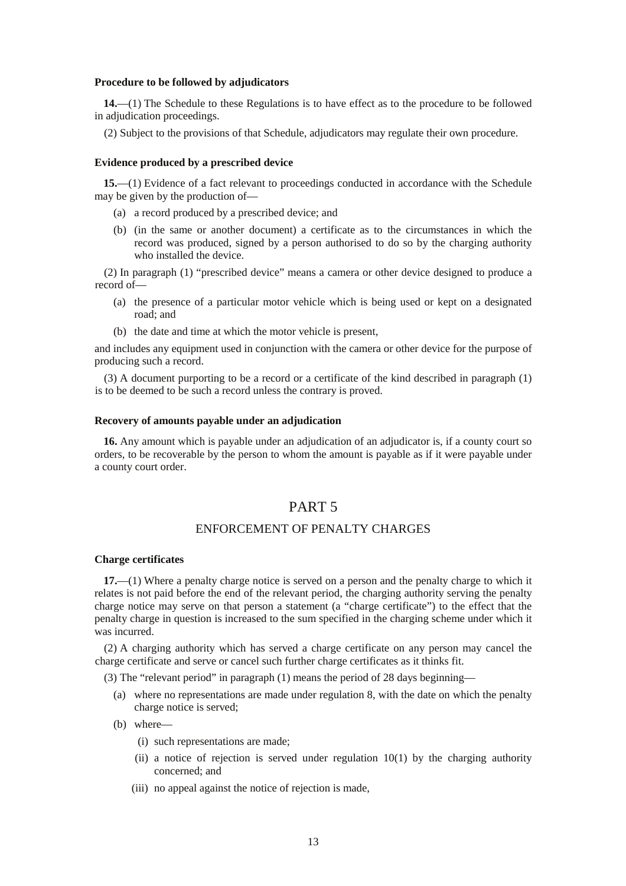#### **Procedure to be followed by adjudicators**

**14.**—(1) The Schedule to these Regulations is to have effect as to the procedure to be followed in adjudication proceedings.

(2) Subject to the provisions of that Schedule, adjudicators may regulate their own procedure.

#### **Evidence produced by a prescribed device**

**15.**—(1) Evidence of a fact relevant to proceedings conducted in accordance with the Schedule may be given by the production of—

- (a) a record produced by a prescribed device; and
- (b) (in the same or another document) a certificate as to the circumstances in which the record was produced, signed by a person authorised to do so by the charging authority who installed the device.

(2) In paragraph (1) "prescribed device" means a camera or other device designed to produce a record of—

- (a) the presence of a particular motor vehicle which is being used or kept on a designated road; and
- (b) the date and time at which the motor vehicle is present,

and includes any equipment used in conjunction with the camera or other device for the purpose of producing such a record.

(3) A document purporting to be a record or a certificate of the kind described in paragraph (1) is to be deemed to be such a record unless the contrary is proved.

### **Recovery of amounts payable under an adjudication**

**16.** Any amount which is payable under an adjudication of an adjudicator is, if a county court so orders, to be recoverable by the person to whom the amount is payable as if it were payable under a county court order.

## PART 5

### ENFORCEMENT OF PENALTY CHARGES

#### **Charge certificates**

**17.**—(1) Where a penalty charge notice is served on a person and the penalty charge to which it relates is not paid before the end of the relevant period, the charging authority serving the penalty charge notice may serve on that person a statement (a "charge certificate") to the effect that the penalty charge in question is increased to the sum specified in the charging scheme under which it was incurred.

(2) A charging authority which has served a charge certificate on any person may cancel the charge certificate and serve or cancel such further charge certificates as it thinks fit.

(3) The "relevant period" in paragraph (1) means the period of 28 days beginning—

- (a) where no representations are made under regulation 8, with the date on which the penalty charge notice is served;
- (b) where—
	- (i) such representations are made;
	- (ii) a notice of rejection is served under regulation 10(1) by the charging authority concerned; and
	- (iii) no appeal against the notice of rejection is made,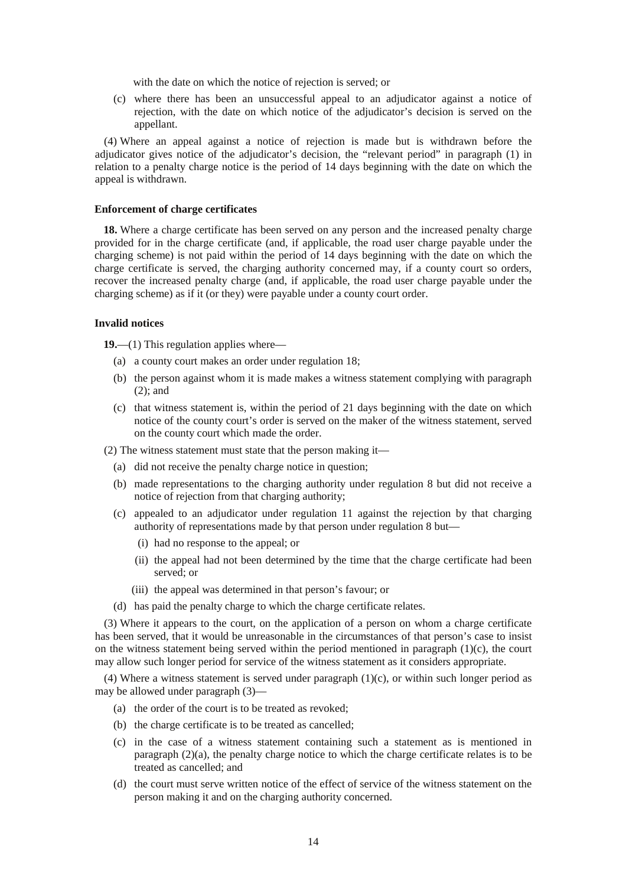with the date on which the notice of rejection is served; or

(c) where there has been an unsuccessful appeal to an adjudicator against a notice of rejection, with the date on which notice of the adjudicator's decision is served on the appellant.

(4) Where an appeal against a notice of rejection is made but is withdrawn before the adjudicator gives notice of the adjudicator's decision, the "relevant period" in paragraph (1) in relation to a penalty charge notice is the period of 14 days beginning with the date on which the appeal is withdrawn.

#### **Enforcement of charge certificates**

**18.** Where a charge certificate has been served on any person and the increased penalty charge provided for in the charge certificate (and, if applicable, the road user charge payable under the charging scheme) is not paid within the period of 14 days beginning with the date on which the charge certificate is served, the charging authority concerned may, if a county court so orders, recover the increased penalty charge (and, if applicable, the road user charge payable under the charging scheme) as if it (or they) were payable under a county court order.

#### **Invalid notices**

**19.**—(1) This regulation applies where—

- (a) a county court makes an order under regulation 18;
- (b) the person against whom it is made makes a witness statement complying with paragraph (2); and
- (c) that witness statement is, within the period of 21 days beginning with the date on which notice of the county court's order is served on the maker of the witness statement, served on the county court which made the order.

(2) The witness statement must state that the person making it—

- (a) did not receive the penalty charge notice in question;
- (b) made representations to the charging authority under regulation 8 but did not receive a notice of rejection from that charging authority;
- (c) appealed to an adjudicator under regulation 11 against the rejection by that charging authority of representations made by that person under regulation 8 but—
	- (i) had no response to the appeal; or
	- (ii) the appeal had not been determined by the time that the charge certificate had been served; or
	- (iii) the appeal was determined in that person's favour; or
- (d) has paid the penalty charge to which the charge certificate relates.

(3) Where it appears to the court, on the application of a person on whom a charge certificate has been served, that it would be unreasonable in the circumstances of that person's case to insist on the witness statement being served within the period mentioned in paragraph  $(1)(c)$ , the court may allow such longer period for service of the witness statement as it considers appropriate.

(4) Where a witness statement is served under paragraph (1)(c), or within such longer period as may be allowed under paragraph (3)—

- (a) the order of the court is to be treated as revoked;
- (b) the charge certificate is to be treated as cancelled;
- (c) in the case of a witness statement containing such a statement as is mentioned in paragraph (2)(a), the penalty charge notice to which the charge certificate relates is to be treated as cancelled; and
- (d) the court must serve written notice of the effect of service of the witness statement on the person making it and on the charging authority concerned.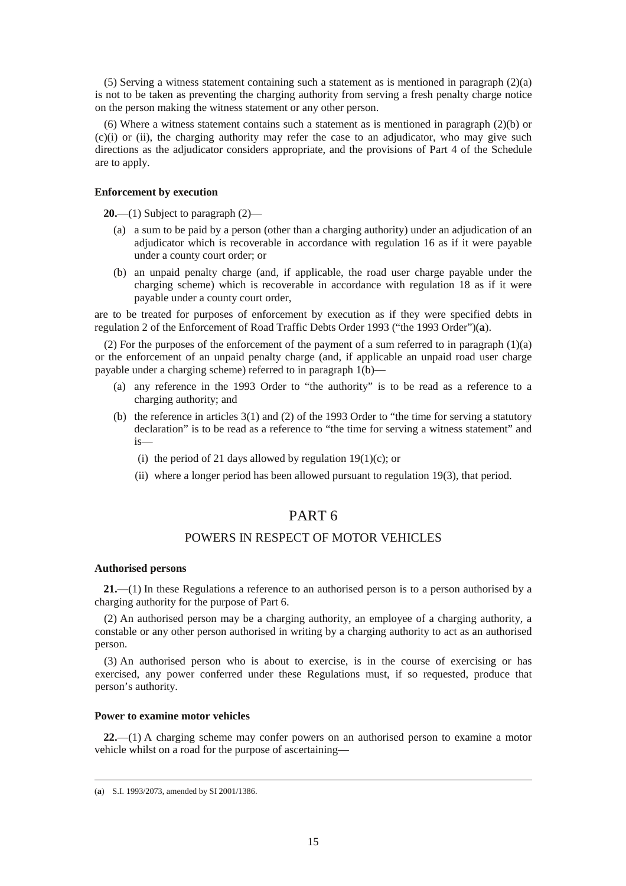(5) Serving a witness statement containing such a statement as is mentioned in paragraph (2)(a) is not to be taken as preventing the charging authority from serving a fresh penalty charge notice on the person making the witness statement or any other person.

(6) Where a witness statement contains such a statement as is mentioned in paragraph (2)(b) or  $(c)(i)$  or (ii), the charging authority may refer the case to an adjudicator, who may give such directions as the adjudicator considers appropriate, and the provisions of Part 4 of the Schedule are to apply.

#### **Enforcement by execution**

**20.**—(1) Subject to paragraph (2)—

- (a) a sum to be paid by a person (other than a charging authority) under an adjudication of an adjudicator which is recoverable in accordance with regulation 16 as if it were payable under a county court order; or
- (b) an unpaid penalty charge (and, if applicable, the road user charge payable under the charging scheme) which is recoverable in accordance with regulation 18 as if it were payable under a county court order,

are to be treated for purposes of enforcement by execution as if they were specified debts in regulation 2 of the Enforcement of Road Traffic Debts Order 1993 ("the 1993 Order")(**a**).

(2) For the purposes of the enforcement of the payment of a sum referred to in paragraph  $(1)(a)$ or the enforcement of an unpaid penalty charge (and, if applicable an unpaid road user charge payable under a charging scheme) referred to in paragraph 1(b)—

- (a) any reference in the 1993 Order to "the authority" is to be read as a reference to a charging authority; and
- (b) the reference in articles 3(1) and (2) of the 1993 Order to "the time for serving a statutory declaration" is to be read as a reference to "the time for serving a witness statement" and is—
	- (i) the period of 21 days allowed by regulation  $19(1)(c)$ ; or
	- (ii) where a longer period has been allowed pursuant to regulation 19(3), that period.

## PART 6

## POWERS IN RESPECT OF MOTOR VEHICLES

#### **Authorised persons**

**21.**—(1) In these Regulations a reference to an authorised person is to a person authorised by a charging authority for the purpose of Part 6.

(2) An authorised person may be a charging authority, an employee of a charging authority, a constable or any other person authorised in writing by a charging authority to act as an authorised person.

(3) An authorised person who is about to exercise, is in the course of exercising or has exercised, any power conferred under these Regulations must, if so requested, produce that person's authority.

### **Power to examine motor vehicles**

**22.**—(1) A charging scheme may confer powers on an authorised person to examine a motor vehicle whilst on a road for the purpose of ascertaining—

<sup>(</sup>**a**) S.I. 1993/2073, amended by SI 2001/1386.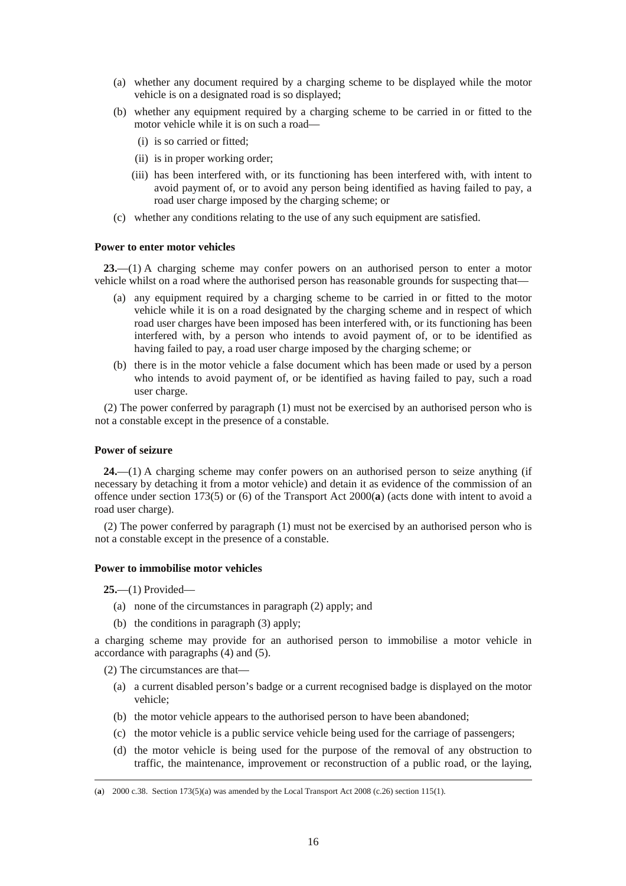- (a) whether any document required by a charging scheme to be displayed while the motor vehicle is on a designated road is so displayed;
- (b) whether any equipment required by a charging scheme to be carried in or fitted to the motor vehicle while it is on such a road—
	- (i) is so carried or fitted;
	- (ii) is in proper working order;
	- (iii) has been interfered with, or its functioning has been interfered with, with intent to avoid payment of, or to avoid any person being identified as having failed to pay, a road user charge imposed by the charging scheme; or
- (c) whether any conditions relating to the use of any such equipment are satisfied.

#### **Power to enter motor vehicles**

**23.**—(1) A charging scheme may confer powers on an authorised person to enter a motor vehicle whilst on a road where the authorised person has reasonable grounds for suspecting that—

- (a) any equipment required by a charging scheme to be carried in or fitted to the motor vehicle while it is on a road designated by the charging scheme and in respect of which road user charges have been imposed has been interfered with, or its functioning has been interfered with, by a person who intends to avoid payment of, or to be identified as having failed to pay, a road user charge imposed by the charging scheme; or
- (b) there is in the motor vehicle a false document which has been made or used by a person who intends to avoid payment of, or be identified as having failed to pay, such a road user charge.

(2) The power conferred by paragraph (1) must not be exercised by an authorised person who is not a constable except in the presence of a constable.

#### **Power of seizure**

**24.**—(1) A charging scheme may confer powers on an authorised person to seize anything (if necessary by detaching it from a motor vehicle) and detain it as evidence of the commission of an offence under section 173(5) or (6) of the Transport Act 2000(**a**) (acts done with intent to avoid a road user charge).

(2) The power conferred by paragraph (1) must not be exercised by an authorised person who is not a constable except in the presence of a constable.

#### **Power to immobilise motor vehicles**

**25.**—(1) Provided—

-

- (a) none of the circumstances in paragraph (2) apply; and
- (b) the conditions in paragraph (3) apply;

a charging scheme may provide for an authorised person to immobilise a motor vehicle in accordance with paragraphs (4) and (5).

(2) The circumstances are that—

- (a) a current disabled person's badge or a current recognised badge is displayed on the motor vehicle;
- (b) the motor vehicle appears to the authorised person to have been abandoned;
- (c) the motor vehicle is a public service vehicle being used for the carriage of passengers;
- (d) the motor vehicle is being used for the purpose of the removal of any obstruction to traffic, the maintenance, improvement or reconstruction of a public road, or the laying,

<sup>(</sup>**a**) 2000 c.38. Section 173(5)(a) was amended by the Local Transport Act 2008 (c.26) section 115(1).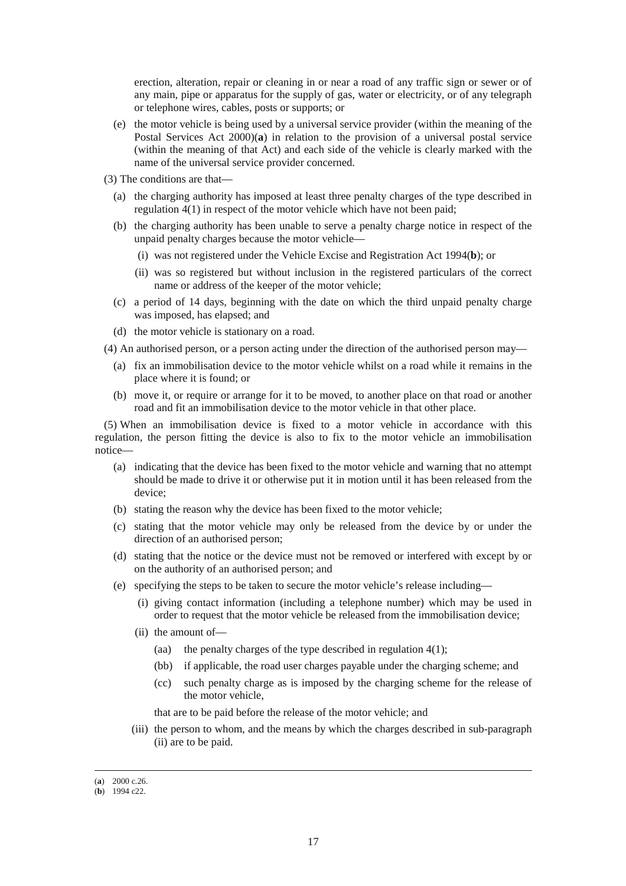erection, alteration, repair or cleaning in or near a road of any traffic sign or sewer or of any main, pipe or apparatus for the supply of gas, water or electricity, or of any telegraph or telephone wires, cables, posts or supports; or

- (e) the motor vehicle is being used by a universal service provider (within the meaning of the Postal Services Act 2000)(**a**) in relation to the provision of a universal postal service (within the meaning of that Act) and each side of the vehicle is clearly marked with the name of the universal service provider concerned.
- (3) The conditions are that—
	- (a) the charging authority has imposed at least three penalty charges of the type described in regulation 4(1) in respect of the motor vehicle which have not been paid;
	- (b) the charging authority has been unable to serve a penalty charge notice in respect of the unpaid penalty charges because the motor vehicle—
		- (i) was not registered under the Vehicle Excise and Registration Act 1994(**b**); or
		- (ii) was so registered but without inclusion in the registered particulars of the correct name or address of the keeper of the motor vehicle;
	- (c) a period of 14 days, beginning with the date on which the third unpaid penalty charge was imposed, has elapsed; and
	- (d) the motor vehicle is stationary on a road.
- (4) An authorised person, or a person acting under the direction of the authorised person may—
	- (a) fix an immobilisation device to the motor vehicle whilst on a road while it remains in the place where it is found; or
	- (b) move it, or require or arrange for it to be moved, to another place on that road or another road and fit an immobilisation device to the motor vehicle in that other place.

(5) When an immobilisation device is fixed to a motor vehicle in accordance with this regulation, the person fitting the device is also to fix to the motor vehicle an immobilisation notice—

- (a) indicating that the device has been fixed to the motor vehicle and warning that no attempt should be made to drive it or otherwise put it in motion until it has been released from the device;
- (b) stating the reason why the device has been fixed to the motor vehicle;
- (c) stating that the motor vehicle may only be released from the device by or under the direction of an authorised person;
- (d) stating that the notice or the device must not be removed or interfered with except by or on the authority of an authorised person; and
- (e) specifying the steps to be taken to secure the motor vehicle's release including—
	- (i) giving contact information (including a telephone number) which may be used in order to request that the motor vehicle be released from the immobilisation device;
	- (ii) the amount of—
		- (aa) the penalty charges of the type described in regulation  $4(1)$ ;
		- (bb) if applicable, the road user charges payable under the charging scheme; and
		- (cc) such penalty charge as is imposed by the charging scheme for the release of the motor vehicle,

that are to be paid before the release of the motor vehicle; and

(iii) the person to whom, and the means by which the charges described in sub-paragraph (ii) are to be paid.

<sup>(</sup>**a**) 2000 c.26.

<sup>(</sup>**b**) 1994 c22.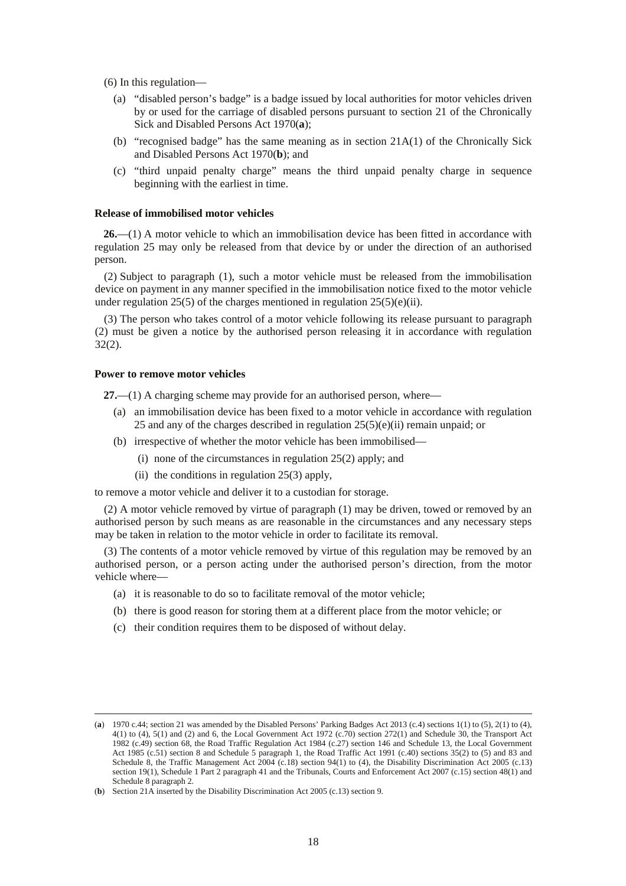(6) In this regulation—

- (a) "disabled person's badge" is a badge issued by local authorities for motor vehicles driven by or used for the carriage of disabled persons pursuant to section 21 of the Chronically Sick and Disabled Persons Act 1970(**a**);
- (b) "recognised badge" has the same meaning as in section  $21A(1)$  of the Chronically Sick and Disabled Persons Act 1970(**b**); and
- (c) "third unpaid penalty charge" means the third unpaid penalty charge in sequence beginning with the earliest in time.

### **Release of immobilised motor vehicles**

**26.**—(1) A motor vehicle to which an immobilisation device has been fitted in accordance with regulation 25 may only be released from that device by or under the direction of an authorised person.

(2) Subject to paragraph (1), such a motor vehicle must be released from the immobilisation device on payment in any manner specified in the immobilisation notice fixed to the motor vehicle under regulation 25(5) of the charges mentioned in regulation  $25(5)(e)(ii)$ .

(3) The person who takes control of a motor vehicle following its release pursuant to paragraph (2) must be given a notice by the authorised person releasing it in accordance with regulation 32(2).

#### **Power to remove motor vehicles**

-

**27.**—(1) A charging scheme may provide for an authorised person, where—

- (a) an immobilisation device has been fixed to a motor vehicle in accordance with regulation 25 and any of the charges described in regulation 25(5)(e)(ii) remain unpaid; or
- (b) irrespective of whether the motor vehicle has been immobilised—
	- (i) none of the circumstances in regulation 25(2) apply; and
	- (ii) the conditions in regulation 25(3) apply,

to remove a motor vehicle and deliver it to a custodian for storage.

(2) A motor vehicle removed by virtue of paragraph (1) may be driven, towed or removed by an authorised person by such means as are reasonable in the circumstances and any necessary steps may be taken in relation to the motor vehicle in order to facilitate its removal.

(3) The contents of a motor vehicle removed by virtue of this regulation may be removed by an authorised person, or a person acting under the authorised person's direction, from the motor vehicle where-

- (a) it is reasonable to do so to facilitate removal of the motor vehicle;
- (b) there is good reason for storing them at a different place from the motor vehicle; or
- (c) their condition requires them to be disposed of without delay.

<sup>(</sup>a) 1970 c.44; section 21 was amended by the Disabled Persons' Parking Badges Act 2013 (c.4) sections 1(1) to (5), 2(1) to (4), 4(1) to (4), 5(1) and (2) and 6, the Local Government Act 1972 (c.70) section 272(1) and Schedule 30, the Transport Act 1982 (c.49) section 68, the Road Traffic Regulation Act 1984 (c.27) section 146 and Schedule 13, the Local Government Act 1985 (c.51) section 8 and Schedule 5 paragraph 1, the Road Traffic Act 1991 (c.40) sections 35(2) to (5) and 83 and Schedule 8, the Traffic Management Act 2004 (c.18) section 94(1) to (4), the Disability Discrimination Act 2005 (c.13) section 19(1), Schedule 1 Part 2 paragraph 41 and the Tribunals, Courts and Enforcement Act 2007 (c.15) section 48(1) and Schedule 8 paragraph 2.

<sup>(</sup>**b**) Section 21A inserted by the Disability Discrimination Act 2005 (c.13) section 9.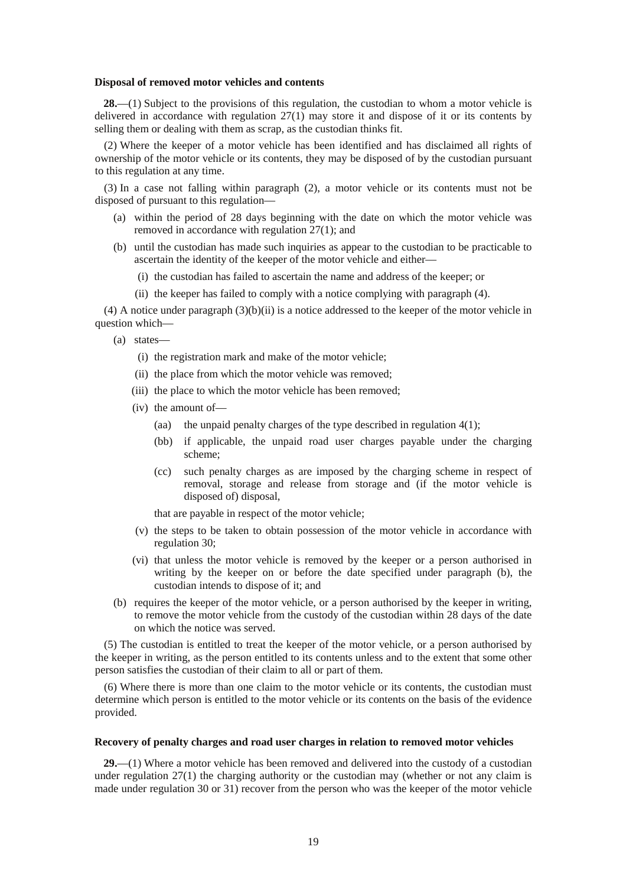#### **Disposal of removed motor vehicles and contents**

**28.**—(1) Subject to the provisions of this regulation, the custodian to whom a motor vehicle is delivered in accordance with regulation 27(1) may store it and dispose of it or its contents by selling them or dealing with them as scrap, as the custodian thinks fit.

(2) Where the keeper of a motor vehicle has been identified and has disclaimed all rights of ownership of the motor vehicle or its contents, they may be disposed of by the custodian pursuant to this regulation at any time.

(3) In a case not falling within paragraph (2), a motor vehicle or its contents must not be disposed of pursuant to this regulation—

- (a) within the period of 28 days beginning with the date on which the motor vehicle was removed in accordance with regulation 27(1); and
- (b) until the custodian has made such inquiries as appear to the custodian to be practicable to ascertain the identity of the keeper of the motor vehicle and either—
	- (i) the custodian has failed to ascertain the name and address of the keeper; or
	- (ii) the keeper has failed to comply with a notice complying with paragraph (4).

(4) A notice under paragraph (3)(b)(ii) is a notice addressed to the keeper of the motor vehicle in question which—

- (a) states—
	- (i) the registration mark and make of the motor vehicle;
	- (ii) the place from which the motor vehicle was removed;
	- (iii) the place to which the motor vehicle has been removed;
	- (iv) the amount of—
		- (aa) the unpaid penalty charges of the type described in regulation  $4(1)$ ;
		- (bb) if applicable, the unpaid road user charges payable under the charging scheme;
		- (cc) such penalty charges as are imposed by the charging scheme in respect of removal, storage and release from storage and (if the motor vehicle is disposed of) disposal,

that are payable in respect of the motor vehicle;

- (v) the steps to be taken to obtain possession of the motor vehicle in accordance with regulation 30;
- (vi) that unless the motor vehicle is removed by the keeper or a person authorised in writing by the keeper on or before the date specified under paragraph (b), the custodian intends to dispose of it; and
- (b) requires the keeper of the motor vehicle, or a person authorised by the keeper in writing, to remove the motor vehicle from the custody of the custodian within 28 days of the date on which the notice was served.

(5) The custodian is entitled to treat the keeper of the motor vehicle, or a person authorised by the keeper in writing, as the person entitled to its contents unless and to the extent that some other person satisfies the custodian of their claim to all or part of them.

(6) Where there is more than one claim to the motor vehicle or its contents, the custodian must determine which person is entitled to the motor vehicle or its contents on the basis of the evidence provided.

### **Recovery of penalty charges and road user charges in relation to removed motor vehicles**

**29.**—(1) Where a motor vehicle has been removed and delivered into the custody of a custodian under regulation  $27(1)$  the charging authority or the custodian may (whether or not any claim is made under regulation 30 or 31) recover from the person who was the keeper of the motor vehicle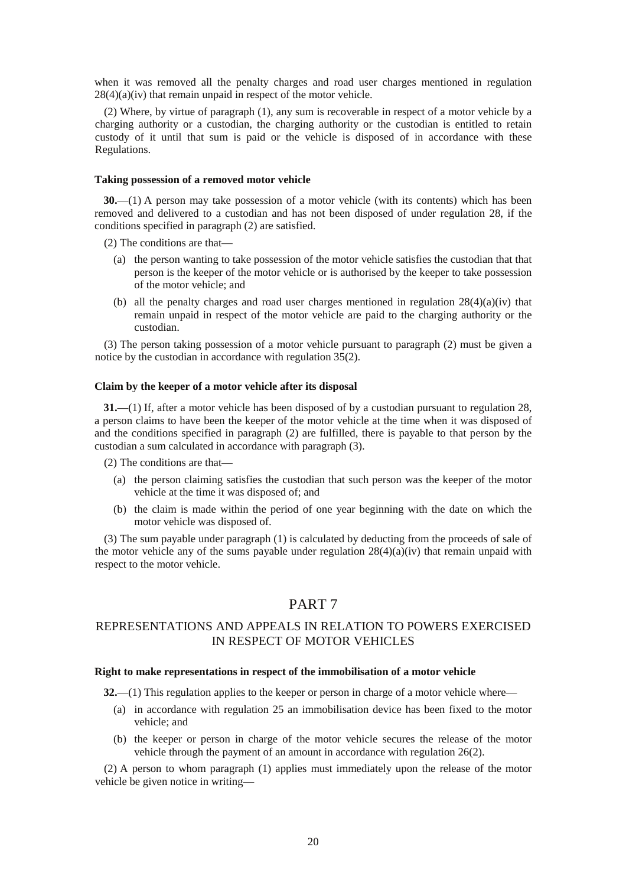when it was removed all the penalty charges and road user charges mentioned in regulation  $28(4)(a)(iv)$  that remain unpaid in respect of the motor vehicle.

(2) Where, by virtue of paragraph (1), any sum is recoverable in respect of a motor vehicle by a charging authority or a custodian, the charging authority or the custodian is entitled to retain custody of it until that sum is paid or the vehicle is disposed of in accordance with these Regulations.

#### **Taking possession of a removed motor vehicle**

**30.**—(1) A person may take possession of a motor vehicle (with its contents) which has been removed and delivered to a custodian and has not been disposed of under regulation 28, if the conditions specified in paragraph (2) are satisfied.

(2) The conditions are that—

- (a) the person wanting to take possession of the motor vehicle satisfies the custodian that that person is the keeper of the motor vehicle or is authorised by the keeper to take possession of the motor vehicle; and
- (b) all the penalty charges and road user charges mentioned in regulation  $28(4)(a)(iv)$  that remain unpaid in respect of the motor vehicle are paid to the charging authority or the custodian.

(3) The person taking possession of a motor vehicle pursuant to paragraph (2) must be given a notice by the custodian in accordance with regulation 35(2).

#### **Claim by the keeper of a motor vehicle after its disposal**

**31.**—(1) If, after a motor vehicle has been disposed of by a custodian pursuant to regulation 28, a person claims to have been the keeper of the motor vehicle at the time when it was disposed of and the conditions specified in paragraph (2) are fulfilled, there is payable to that person by the custodian a sum calculated in accordance with paragraph (3).

(2) The conditions are that—

- (a) the person claiming satisfies the custodian that such person was the keeper of the motor vehicle at the time it was disposed of; and
- (b) the claim is made within the period of one year beginning with the date on which the motor vehicle was disposed of.

(3) The sum payable under paragraph (1) is calculated by deducting from the proceeds of sale of the motor vehicle any of the sums payable under regulation  $28(4)(a)(iv)$  that remain unpaid with respect to the motor vehicle.

## PART 7

## REPRESENTATIONS AND APPEALS IN RELATION TO POWERS EXERCISED IN RESPECT OF MOTOR VEHICLES

#### **Right to make representations in respect of the immobilisation of a motor vehicle**

**32.**—(1) This regulation applies to the keeper or person in charge of a motor vehicle where—

- (a) in accordance with regulation 25 an immobilisation device has been fixed to the motor vehicle; and
- (b) the keeper or person in charge of the motor vehicle secures the release of the motor vehicle through the payment of an amount in accordance with regulation 26(2).

(2) A person to whom paragraph (1) applies must immediately upon the release of the motor vehicle be given notice in writing—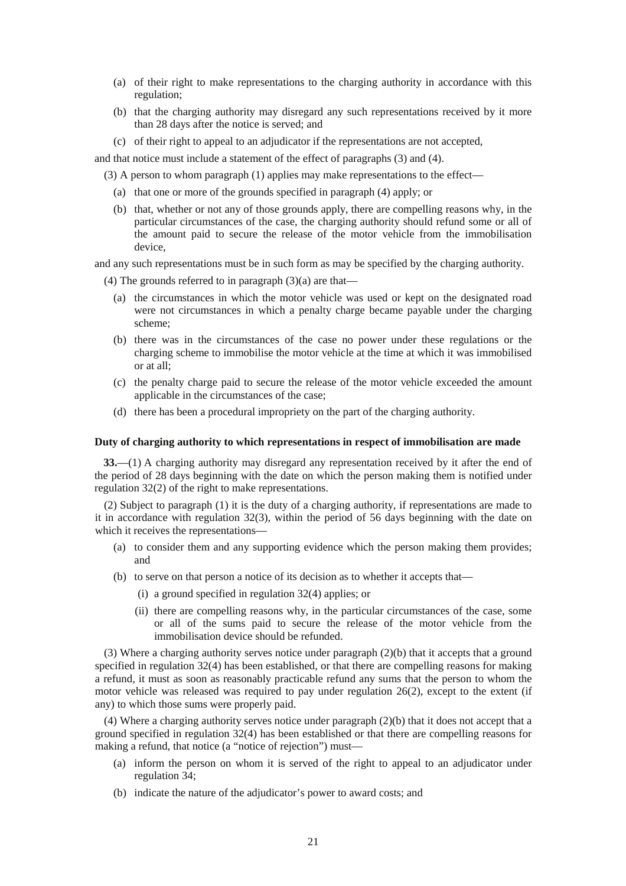- (a) of their right to make representations to the charging authority in accordance with this regulation;
- (b) that the charging authority may disregard any such representations received by it more than 28 days after the notice is served; and
- (c) of their right to appeal to an adjudicator if the representations are not accepted,

and that notice must include a statement of the effect of paragraphs (3) and (4).

- (3) A person to whom paragraph (1) applies may make representations to the effect—
	- (a) that one or more of the grounds specified in paragraph (4) apply; or
	- (b) that, whether or not any of those grounds apply, there are compelling reasons why, in the particular circumstances of the case, the charging authority should refund some or all of the amount paid to secure the release of the motor vehicle from the immobilisation device,

and any such representations must be in such form as may be specified by the charging authority.

- (4) The grounds referred to in paragraph  $(3)(a)$  are that—
	- (a) the circumstances in which the motor vehicle was used or kept on the designated road were not circumstances in which a penalty charge became payable under the charging scheme;
	- (b) there was in the circumstances of the case no power under these regulations or the charging scheme to immobilise the motor vehicle at the time at which it was immobilised or at all;
	- (c) the penalty charge paid to secure the release of the motor vehicle exceeded the amount applicable in the circumstances of the case;
	- (d) there has been a procedural impropriety on the part of the charging authority.

#### **Duty of charging authority to which representations in respect of immobilisation are made**

**33.**—(1) A charging authority may disregard any representation received by it after the end of the period of 28 days beginning with the date on which the person making them is notified under regulation 32(2) of the right to make representations.

(2) Subject to paragraph (1) it is the duty of a charging authority, if representations are made to it in accordance with regulation 32(3), within the period of 56 days beginning with the date on which it receives the representations—

- (a) to consider them and any supporting evidence which the person making them provides; and
- (b) to serve on that person a notice of its decision as to whether it accepts that—
	- (i) a ground specified in regulation 32(4) applies; or
	- (ii) there are compelling reasons why, in the particular circumstances of the case, some or all of the sums paid to secure the release of the motor vehicle from the immobilisation device should be refunded.

(3) Where a charging authority serves notice under paragraph (2)(b) that it accepts that a ground specified in regulation 32(4) has been established, or that there are compelling reasons for making a refund, it must as soon as reasonably practicable refund any sums that the person to whom the motor vehicle was released was required to pay under regulation 26(2), except to the extent (if any) to which those sums were properly paid.

(4) Where a charging authority serves notice under paragraph (2)(b) that it does not accept that a ground specified in regulation 32(4) has been established or that there are compelling reasons for making a refund, that notice (a "notice of rejection") must—

- (a) inform the person on whom it is served of the right to appeal to an adjudicator under regulation 34;
- (b) indicate the nature of the adjudicator's power to award costs; and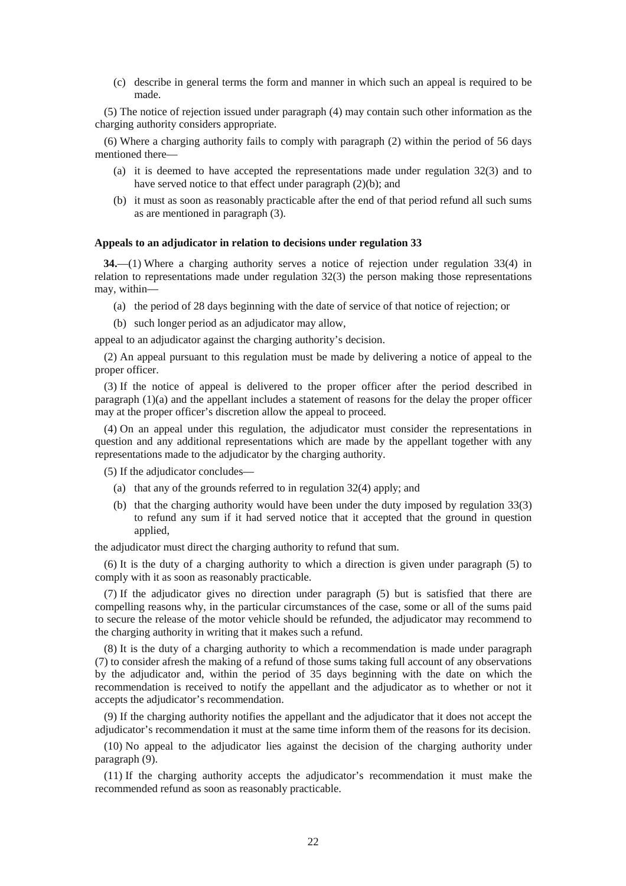(c) describe in general terms the form and manner in which such an appeal is required to be made.

(5) The notice of rejection issued under paragraph (4) may contain such other information as the charging authority considers appropriate.

(6) Where a charging authority fails to comply with paragraph (2) within the period of 56 days mentioned there—

- (a) it is deemed to have accepted the representations made under regulation 32(3) and to have served notice to that effect under paragraph (2)(b); and
- (b) it must as soon as reasonably practicable after the end of that period refund all such sums as are mentioned in paragraph (3).

#### **Appeals to an adjudicator in relation to decisions under regulation 33**

**34.**—(1) Where a charging authority serves a notice of rejection under regulation 33(4) in relation to representations made under regulation 32(3) the person making those representations may, within—

- (a) the period of 28 days beginning with the date of service of that notice of rejection; or
- (b) such longer period as an adjudicator may allow,

appeal to an adjudicator against the charging authority's decision.

(2) An appeal pursuant to this regulation must be made by delivering a notice of appeal to the proper officer.

(3) If the notice of appeal is delivered to the proper officer after the period described in paragraph  $(1)(a)$  and the appellant includes a statement of reasons for the delay the proper officer may at the proper officer's discretion allow the appeal to proceed.

(4) On an appeal under this regulation, the adjudicator must consider the representations in question and any additional representations which are made by the appellant together with any representations made to the adjudicator by the charging authority.

(5) If the adjudicator concludes—

- (a) that any of the grounds referred to in regulation 32(4) apply; and
- (b) that the charging authority would have been under the duty imposed by regulation 33(3) to refund any sum if it had served notice that it accepted that the ground in question applied,

the adjudicator must direct the charging authority to refund that sum.

(6) It is the duty of a charging authority to which a direction is given under paragraph (5) to comply with it as soon as reasonably practicable.

(7) If the adjudicator gives no direction under paragraph (5) but is satisfied that there are compelling reasons why, in the particular circumstances of the case, some or all of the sums paid to secure the release of the motor vehicle should be refunded, the adjudicator may recommend to the charging authority in writing that it makes such a refund.

(8) It is the duty of a charging authority to which a recommendation is made under paragraph (7) to consider afresh the making of a refund of those sums taking full account of any observations by the adjudicator and, within the period of 35 days beginning with the date on which the recommendation is received to notify the appellant and the adjudicator as to whether or not it accepts the adjudicator's recommendation.

(9) If the charging authority notifies the appellant and the adjudicator that it does not accept the adjudicator's recommendation it must at the same time inform them of the reasons for its decision.

(10) No appeal to the adjudicator lies against the decision of the charging authority under paragraph (9).

(11) If the charging authority accepts the adjudicator's recommendation it must make the recommended refund as soon as reasonably practicable.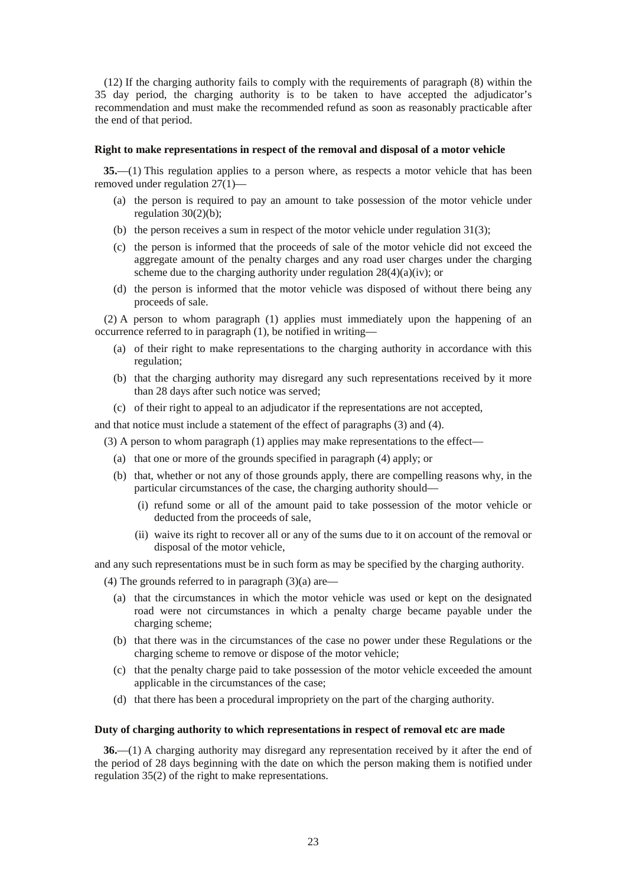(12) If the charging authority fails to comply with the requirements of paragraph (8) within the 35 day period, the charging authority is to be taken to have accepted the adjudicator's recommendation and must make the recommended refund as soon as reasonably practicable after the end of that period.

#### **Right to make representations in respect of the removal and disposal of a motor vehicle**

**35.**—(1) This regulation applies to a person where, as respects a motor vehicle that has been removed under regulation 27(1)—

- (a) the person is required to pay an amount to take possession of the motor vehicle under regulation 30(2)(b);
- (b) the person receives a sum in respect of the motor vehicle under regulation 31(3);
- (c) the person is informed that the proceeds of sale of the motor vehicle did not exceed the aggregate amount of the penalty charges and any road user charges under the charging scheme due to the charging authority under regulation  $28(4)(a)(iv)$ ; or
- (d) the person is informed that the motor vehicle was disposed of without there being any proceeds of sale.

(2) A person to whom paragraph (1) applies must immediately upon the happening of an occurrence referred to in paragraph (1), be notified in writing—

- (a) of their right to make representations to the charging authority in accordance with this regulation;
- (b) that the charging authority may disregard any such representations received by it more than 28 days after such notice was served;
- (c) of their right to appeal to an adjudicator if the representations are not accepted,

and that notice must include a statement of the effect of paragraphs (3) and (4).

- (3) A person to whom paragraph (1) applies may make representations to the effect—
	- (a) that one or more of the grounds specified in paragraph (4) apply; or
	- (b) that, whether or not any of those grounds apply, there are compelling reasons why, in the particular circumstances of the case, the charging authority should—
		- (i) refund some or all of the amount paid to take possession of the motor vehicle or deducted from the proceeds of sale,
		- (ii) waive its right to recover all or any of the sums due to it on account of the removal or disposal of the motor vehicle,

and any such representations must be in such form as may be specified by the charging authority.

- (4) The grounds referred to in paragraph  $(3)(a)$  are—
	- (a) that the circumstances in which the motor vehicle was used or kept on the designated road were not circumstances in which a penalty charge became payable under the charging scheme;
	- (b) that there was in the circumstances of the case no power under these Regulations or the charging scheme to remove or dispose of the motor vehicle;
	- (c) that the penalty charge paid to take possession of the motor vehicle exceeded the amount applicable in the circumstances of the case;
	- (d) that there has been a procedural impropriety on the part of the charging authority.

#### **Duty of charging authority to which representations in respect of removal etc are made**

**36.**—(1) A charging authority may disregard any representation received by it after the end of the period of 28 days beginning with the date on which the person making them is notified under regulation 35(2) of the right to make representations.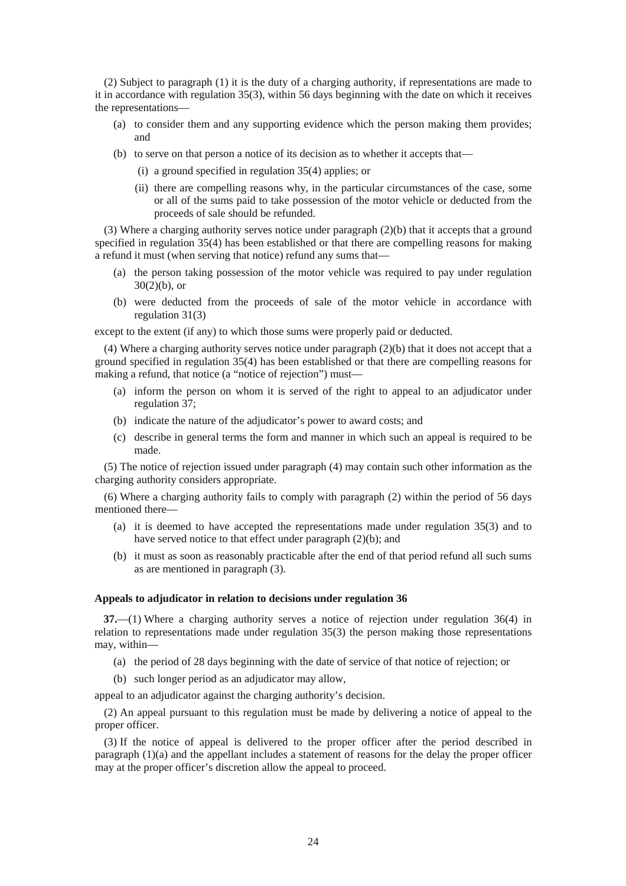(2) Subject to paragraph (1) it is the duty of a charging authority, if representations are made to it in accordance with regulation 35(3), within 56 days beginning with the date on which it receives the representations—

- (a) to consider them and any supporting evidence which the person making them provides; and
- (b) to serve on that person a notice of its decision as to whether it accepts that—
	- (i) a ground specified in regulation 35(4) applies; or
	- (ii) there are compelling reasons why, in the particular circumstances of the case, some or all of the sums paid to take possession of the motor vehicle or deducted from the proceeds of sale should be refunded.

(3) Where a charging authority serves notice under paragraph (2)(b) that it accepts that a ground specified in regulation 35(4) has been established or that there are compelling reasons for making a refund it must (when serving that notice) refund any sums that—

- (a) the person taking possession of the motor vehicle was required to pay under regulation  $30(2)(b)$ , or
- (b) were deducted from the proceeds of sale of the motor vehicle in accordance with regulation 31(3)

except to the extent (if any) to which those sums were properly paid or deducted.

(4) Where a charging authority serves notice under paragraph (2)(b) that it does not accept that a ground specified in regulation 35(4) has been established or that there are compelling reasons for making a refund, that notice (a "notice of rejection") must—

- (a) inform the person on whom it is served of the right to appeal to an adjudicator under regulation 37;
- (b) indicate the nature of the adjudicator's power to award costs; and
- (c) describe in general terms the form and manner in which such an appeal is required to be made.

(5) The notice of rejection issued under paragraph (4) may contain such other information as the charging authority considers appropriate.

(6) Where a charging authority fails to comply with paragraph (2) within the period of 56 days mentioned there—

- (a) it is deemed to have accepted the representations made under regulation 35(3) and to have served notice to that effect under paragraph (2)(b); and
- (b) it must as soon as reasonably practicable after the end of that period refund all such sums as are mentioned in paragraph (3).

#### **Appeals to adjudicator in relation to decisions under regulation 36**

**37.**—(1) Where a charging authority serves a notice of rejection under regulation 36(4) in relation to representations made under regulation 35(3) the person making those representations may, within—

- (a) the period of 28 days beginning with the date of service of that notice of rejection; or
- (b) such longer period as an adjudicator may allow,

appeal to an adjudicator against the charging authority's decision.

(2) An appeal pursuant to this regulation must be made by delivering a notice of appeal to the proper officer.

(3) If the notice of appeal is delivered to the proper officer after the period described in paragraph  $(1)(a)$  and the appellant includes a statement of reasons for the delay the proper officer may at the proper officer's discretion allow the appeal to proceed.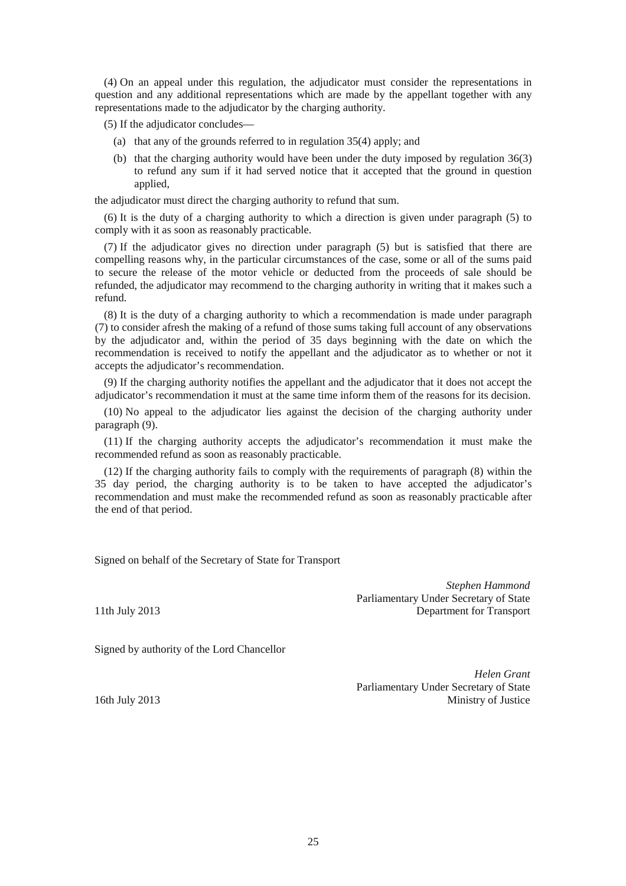(4) On an appeal under this regulation, the adjudicator must consider the representations in question and any additional representations which are made by the appellant together with any representations made to the adjudicator by the charging authority.

(5) If the adjudicator concludes—

- (a) that any of the grounds referred to in regulation 35(4) apply; and
- (b) that the charging authority would have been under the duty imposed by regulation 36(3) to refund any sum if it had served notice that it accepted that the ground in question applied,

the adjudicator must direct the charging authority to refund that sum.

(6) It is the duty of a charging authority to which a direction is given under paragraph (5) to comply with it as soon as reasonably practicable.

(7) If the adjudicator gives no direction under paragraph (5) but is satisfied that there are compelling reasons why, in the particular circumstances of the case, some or all of the sums paid to secure the release of the motor vehicle or deducted from the proceeds of sale should be refunded, the adjudicator may recommend to the charging authority in writing that it makes such a refund.

(8) It is the duty of a charging authority to which a recommendation is made under paragraph (7) to consider afresh the making of a refund of those sums taking full account of any observations by the adjudicator and, within the period of 35 days beginning with the date on which the recommendation is received to notify the appellant and the adjudicator as to whether or not it accepts the adjudicator's recommendation.

(9) If the charging authority notifies the appellant and the adjudicator that it does not accept the adjudicator's recommendation it must at the same time inform them of the reasons for its decision.

(10) No appeal to the adjudicator lies against the decision of the charging authority under paragraph (9).

(11) If the charging authority accepts the adjudicator's recommendation it must make the recommended refund as soon as reasonably practicable.

(12) If the charging authority fails to comply with the requirements of paragraph (8) within the 35 day period, the charging authority is to be taken to have accepted the adjudicator's recommendation and must make the recommended refund as soon as reasonably practicable after the end of that period.

Signed on behalf of the Secretary of State for Transport

*Stephen Hammond* Parliamentary Under Secretary of State 11th July 2013 Department for Transport

Signed by authority of the Lord Chancellor

*Helen Grant* Parliamentary Under Secretary of State 16th July 2013 Ministry of Justice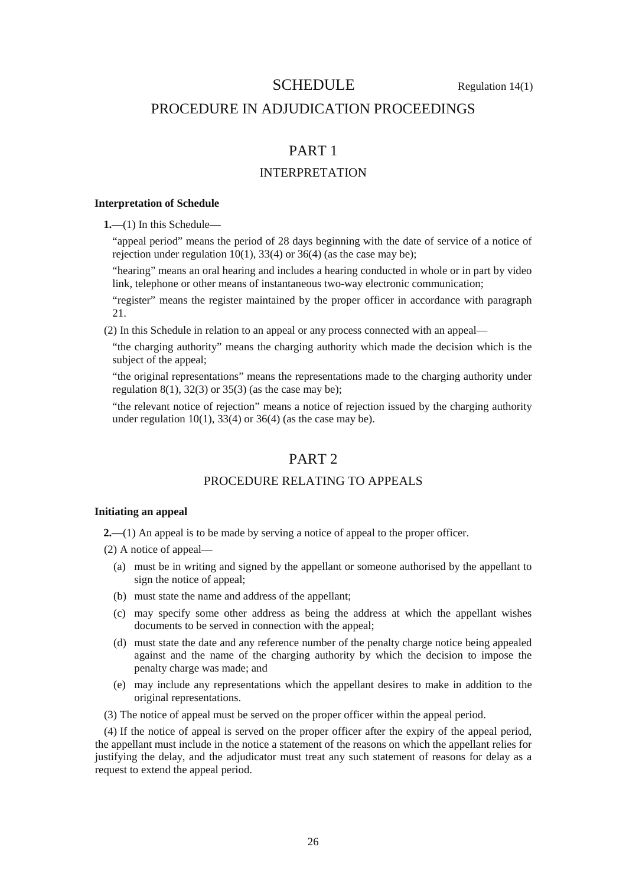## SCHEDULE Regulation 14(1)

## PROCEDURE IN ADJUDICATION PROCEEDINGS

# PART 1

## INTERPRETATION

#### **Interpretation of Schedule**

**1.**—(1) In this Schedule—

"appeal period" means the period of 28 days beginning with the date of service of a notice of rejection under regulation  $10(1)$ ,  $33(4)$  or  $36(4)$  (as the case may be);

"hearing" means an oral hearing and includes a hearing conducted in whole or in part by video link, telephone or other means of instantaneous two-way electronic communication;

"register" means the register maintained by the proper officer in accordance with paragraph 21.

(2) In this Schedule in relation to an appeal or any process connected with an appeal—

"the charging authority" means the charging authority which made the decision which is the subject of the appeal;

"the original representations" means the representations made to the charging authority under regulation  $8(1)$ ,  $32(3)$  or  $35(3)$  (as the case may be);

"the relevant notice of rejection" means a notice of rejection issued by the charging authority under regulation  $10(1)$ ,  $33(4)$  or  $36(4)$  (as the case may be).

## PART<sub>2</sub>

## PROCEDURE RELATING TO APPEALS

### **Initiating an appeal**

**2.**—(1) An appeal is to be made by serving a notice of appeal to the proper officer.

(2) A notice of appeal—

- (a) must be in writing and signed by the appellant or someone authorised by the appellant to sign the notice of appeal;
- (b) must state the name and address of the appellant;
- (c) may specify some other address as being the address at which the appellant wishes documents to be served in connection with the appeal;
- (d) must state the date and any reference number of the penalty charge notice being appealed against and the name of the charging authority by which the decision to impose the penalty charge was made; and
- (e) may include any representations which the appellant desires to make in addition to the original representations.
- (3) The notice of appeal must be served on the proper officer within the appeal period.

(4) If the notice of appeal is served on the proper officer after the expiry of the appeal period, the appellant must include in the notice a statement of the reasons on which the appellant relies for justifying the delay, and the adjudicator must treat any such statement of reasons for delay as a request to extend the appeal period.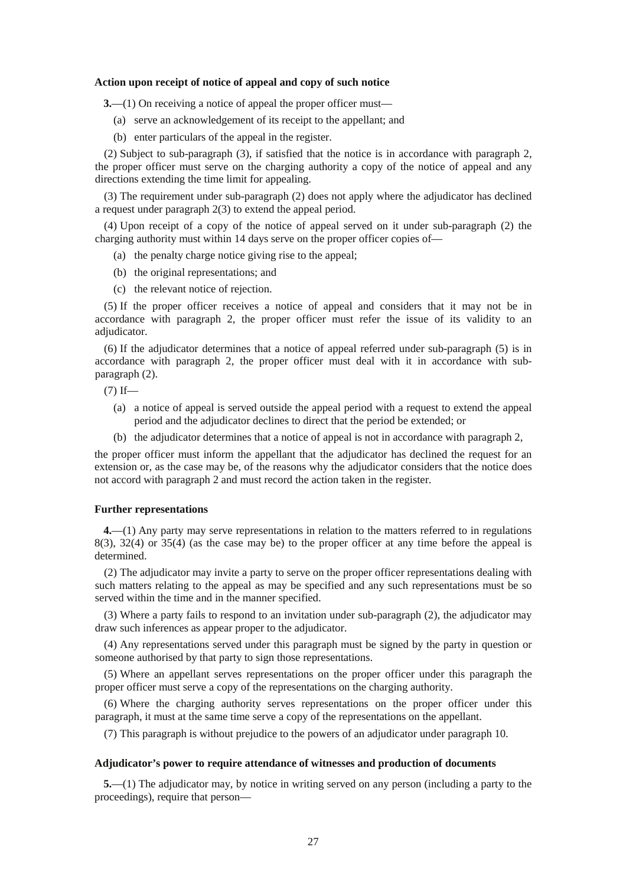#### **Action upon receipt of notice of appeal and copy of such notice**

**3.**—(1) On receiving a notice of appeal the proper officer must—

- (a) serve an acknowledgement of its receipt to the appellant; and
- (b) enter particulars of the appeal in the register.

(2) Subject to sub-paragraph (3), if satisfied that the notice is in accordance with paragraph 2, the proper officer must serve on the charging authority a copy of the notice of appeal and any directions extending the time limit for appealing.

(3) The requirement under sub-paragraph (2) does not apply where the adjudicator has declined a request under paragraph 2(3) to extend the appeal period.

(4) Upon receipt of a copy of the notice of appeal served on it under sub-paragraph (2) the charging authority must within 14 days serve on the proper officer copies of—

- (a) the penalty charge notice giving rise to the appeal;
- (b) the original representations; and
- (c) the relevant notice of rejection.

(5) If the proper officer receives a notice of appeal and considers that it may not be in accordance with paragraph 2, the proper officer must refer the issue of its validity to an adjudicator.

(6) If the adjudicator determines that a notice of appeal referred under sub-paragraph (5) is in accordance with paragraph 2, the proper officer must deal with it in accordance with subparagraph (2).

 $(7)$  If—

- (a) a notice of appeal is served outside the appeal period with a request to extend the appeal period and the adjudicator declines to direct that the period be extended; or
- (b) the adjudicator determines that a notice of appeal is not in accordance with paragraph 2,

the proper officer must inform the appellant that the adjudicator has declined the request for an extension or, as the case may be, of the reasons why the adjudicator considers that the notice does not accord with paragraph 2 and must record the action taken in the register.

#### **Further representations**

**4.**—(1) Any party may serve representations in relation to the matters referred to in regulations 8(3), 32(4) or 35(4) (as the case may be) to the proper officer at any time before the appeal is determined.

(2) The adjudicator may invite a party to serve on the proper officer representations dealing with such matters relating to the appeal as may be specified and any such representations must be so served within the time and in the manner specified.

(3) Where a party fails to respond to an invitation under sub-paragraph (2), the adjudicator may draw such inferences as appear proper to the adjudicator.

(4) Any representations served under this paragraph must be signed by the party in question or someone authorised by that party to sign those representations.

(5) Where an appellant serves representations on the proper officer under this paragraph the proper officer must serve a copy of the representations on the charging authority.

(6) Where the charging authority serves representations on the proper officer under this paragraph, it must at the same time serve a copy of the representations on the appellant.

(7) This paragraph is without prejudice to the powers of an adjudicator under paragraph 10.

#### **Adjudicator's power to require attendance of witnesses and production of documents**

**5.**—(1) The adjudicator may, by notice in writing served on any person (including a party to the proceedings), require that person—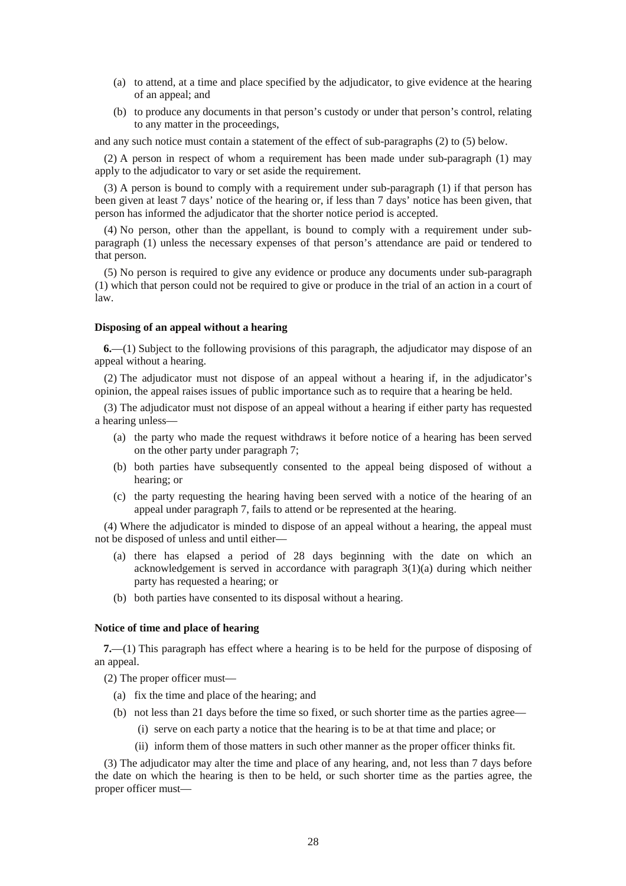- (a) to attend, at a time and place specified by the adjudicator, to give evidence at the hearing of an appeal; and
- (b) to produce any documents in that person's custody or under that person's control, relating to any matter in the proceedings,

and any such notice must contain a statement of the effect of sub-paragraphs (2) to (5) below.

(2) A person in respect of whom a requirement has been made under sub-paragraph (1) may apply to the adjudicator to vary or set aside the requirement.

(3) A person is bound to comply with a requirement under sub-paragraph (1) if that person has been given at least 7 days' notice of the hearing or, if less than 7 days' notice has been given, that person has informed the adjudicator that the shorter notice period is accepted.

(4) No person, other than the appellant, is bound to comply with a requirement under subparagraph (1) unless the necessary expenses of that person's attendance are paid or tendered to that person.

(5) No person is required to give any evidence or produce any documents under sub-paragraph (1) which that person could not be required to give or produce in the trial of an action in a court of law.

#### **Disposing of an appeal without a hearing**

**6.**—(1) Subject to the following provisions of this paragraph, the adjudicator may dispose of an appeal without a hearing.

(2) The adjudicator must not dispose of an appeal without a hearing if, in the adjudicator's opinion, the appeal raises issues of public importance such as to require that a hearing be held.

(3) The adjudicator must not dispose of an appeal without a hearing if either party has requested a hearing unless—

- (a) the party who made the request withdraws it before notice of a hearing has been served on the other party under paragraph 7;
- (b) both parties have subsequently consented to the appeal being disposed of without a hearing; or
- (c) the party requesting the hearing having been served with a notice of the hearing of an appeal under paragraph 7, fails to attend or be represented at the hearing.

(4) Where the adjudicator is minded to dispose of an appeal without a hearing, the appeal must not be disposed of unless and until either—

- (a) there has elapsed a period of 28 days beginning with the date on which an acknowledgement is served in accordance with paragraph 3(1)(a) during which neither party has requested a hearing; or
- (b) both parties have consented to its disposal without a hearing.

#### **Notice of time and place of hearing**

**7.**—(1) This paragraph has effect where a hearing is to be held for the purpose of disposing of an appeal.

(2) The proper officer must—

- (a) fix the time and place of the hearing; and
- (b) not less than 21 days before the time so fixed, or such shorter time as the parties agree—
	- (i) serve on each party a notice that the hearing is to be at that time and place; or
	- (ii) inform them of those matters in such other manner as the proper officer thinks fit.

(3) The adjudicator may alter the time and place of any hearing, and, not less than 7 days before the date on which the hearing is then to be held, or such shorter time as the parties agree, the proper officer must—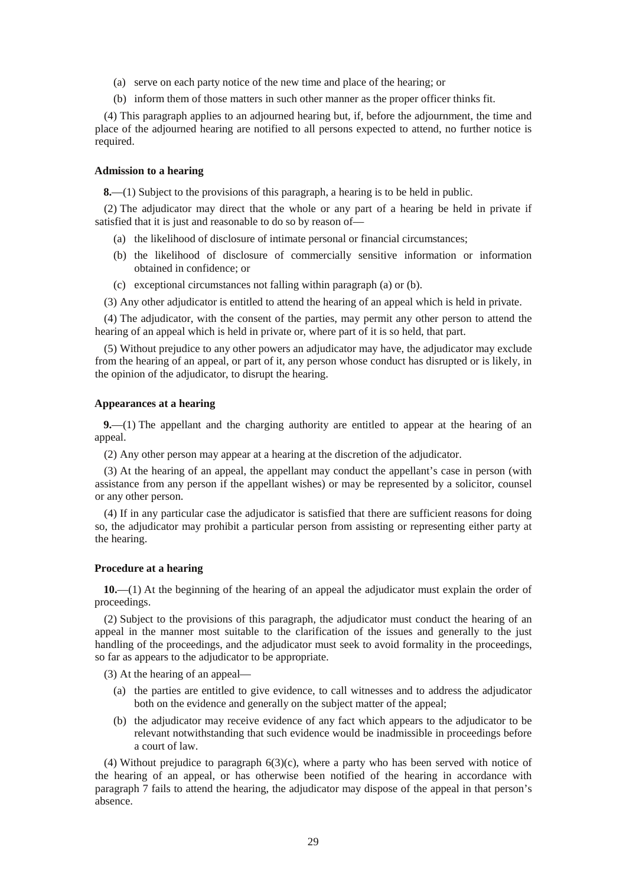- (a) serve on each party notice of the new time and place of the hearing; or
- (b) inform them of those matters in such other manner as the proper officer thinks fit.

(4) This paragraph applies to an adjourned hearing but, if, before the adjournment, the time and place of the adjourned hearing are notified to all persons expected to attend, no further notice is required.

### **Admission to a hearing**

**8.**—(1) Subject to the provisions of this paragraph, a hearing is to be held in public.

(2) The adjudicator may direct that the whole or any part of a hearing be held in private if satisfied that it is just and reasonable to do so by reason of—

- (a) the likelihood of disclosure of intimate personal or financial circumstances;
- (b) the likelihood of disclosure of commercially sensitive information or information obtained in confidence; or
- (c) exceptional circumstances not falling within paragraph (a) or (b).
- (3) Any other adjudicator is entitled to attend the hearing of an appeal which is held in private.

(4) The adjudicator, with the consent of the parties, may permit any other person to attend the hearing of an appeal which is held in private or, where part of it is so held, that part.

(5) Without prejudice to any other powers an adjudicator may have, the adjudicator may exclude from the hearing of an appeal, or part of it, any person whose conduct has disrupted or is likely, in the opinion of the adjudicator, to disrupt the hearing.

#### **Appearances at a hearing**

**9.**—(1) The appellant and the charging authority are entitled to appear at the hearing of an appeal.

(2) Any other person may appear at a hearing at the discretion of the adjudicator.

(3) At the hearing of an appeal, the appellant may conduct the appellant's case in person (with assistance from any person if the appellant wishes) or may be represented by a solicitor, counsel or any other person.

(4) If in any particular case the adjudicator is satisfied that there are sufficient reasons for doing so, the adjudicator may prohibit a particular person from assisting or representing either party at the hearing.

#### **Procedure at a hearing**

**10.**—(1) At the beginning of the hearing of an appeal the adjudicator must explain the order of proceedings.

(2) Subject to the provisions of this paragraph, the adjudicator must conduct the hearing of an appeal in the manner most suitable to the clarification of the issues and generally to the just handling of the proceedings, and the adjudicator must seek to avoid formality in the proceedings, so far as appears to the adjudicator to be appropriate.

(3) At the hearing of an appeal—

- (a) the parties are entitled to give evidence, to call witnesses and to address the adjudicator both on the evidence and generally on the subject matter of the appeal;
- (b) the adjudicator may receive evidence of any fact which appears to the adjudicator to be relevant notwithstanding that such evidence would be inadmissible in proceedings before a court of law.

(4) Without prejudice to paragraph 6(3)(c), where a party who has been served with notice of the hearing of an appeal, or has otherwise been notified of the hearing in accordance with paragraph 7 fails to attend the hearing, the adjudicator may dispose of the appeal in that person's absence.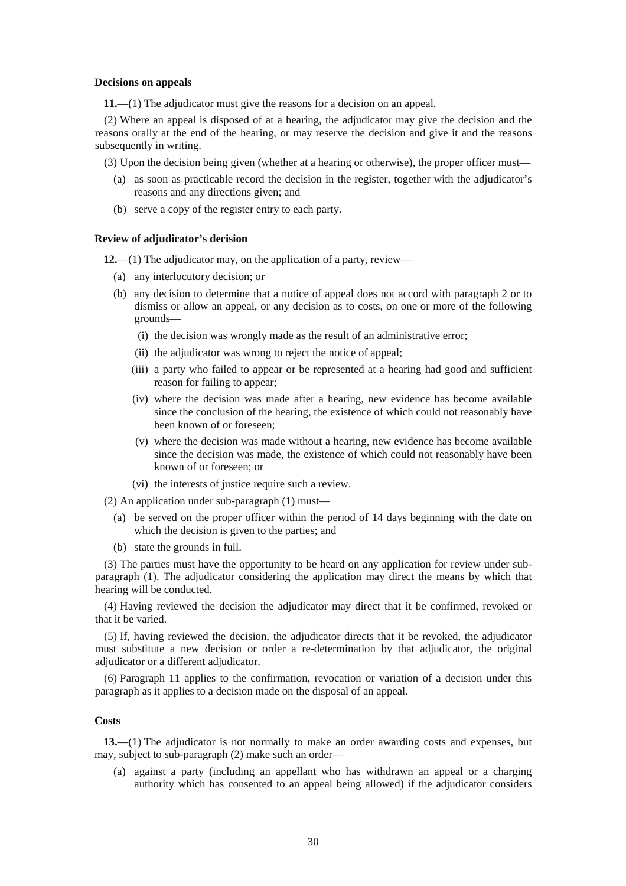#### **Decisions on appeals**

**11.**—(1) The adjudicator must give the reasons for a decision on an appeal.

(2) Where an appeal is disposed of at a hearing, the adjudicator may give the decision and the reasons orally at the end of the hearing, or may reserve the decision and give it and the reasons subsequently in writing.

(3) Upon the decision being given (whether at a hearing or otherwise), the proper officer must—

- (a) as soon as practicable record the decision in the register, together with the adjudicator's reasons and any directions given; and
- (b) serve a copy of the register entry to each party.

#### **Review of adjudicator's decision**

**12.**—(1) The adjudicator may, on the application of a party, review—

- (a) any interlocutory decision; or
- (b) any decision to determine that a notice of appeal does not accord with paragraph 2 or to dismiss or allow an appeal, or any decision as to costs, on one or more of the following grounds—
	- (i) the decision was wrongly made as the result of an administrative error;
	- (ii) the adjudicator was wrong to reject the notice of appeal;
	- (iii) a party who failed to appear or be represented at a hearing had good and sufficient reason for failing to appear;
	- (iv) where the decision was made after a hearing, new evidence has become available since the conclusion of the hearing, the existence of which could not reasonably have been known of or foreseen;
	- (v) where the decision was made without a hearing, new evidence has become available since the decision was made, the existence of which could not reasonably have been known of or foreseen; or
	- (vi) the interests of justice require such a review.
- (2) An application under sub-paragraph (1) must—
	- (a) be served on the proper officer within the period of 14 days beginning with the date on which the decision is given to the parties; and
	- (b) state the grounds in full.

(3) The parties must have the opportunity to be heard on any application for review under subparagraph (1). The adjudicator considering the application may direct the means by which that hearing will be conducted.

(4) Having reviewed the decision the adjudicator may direct that it be confirmed, revoked or that it be varied.

(5) If, having reviewed the decision, the adjudicator directs that it be revoked, the adjudicator must substitute a new decision or order a re-determination by that adjudicator, the original adjudicator or a different adjudicator.

(6) Paragraph 11 applies to the confirmation, revocation or variation of a decision under this paragraph as it applies to a decision made on the disposal of an appeal.

### **Costs**

**13.**—(1) The adjudicator is not normally to make an order awarding costs and expenses, but may, subject to sub-paragraph (2) make such an order—

(a) against a party (including an appellant who has withdrawn an appeal or a charging authority which has consented to an appeal being allowed) if the adjudicator considers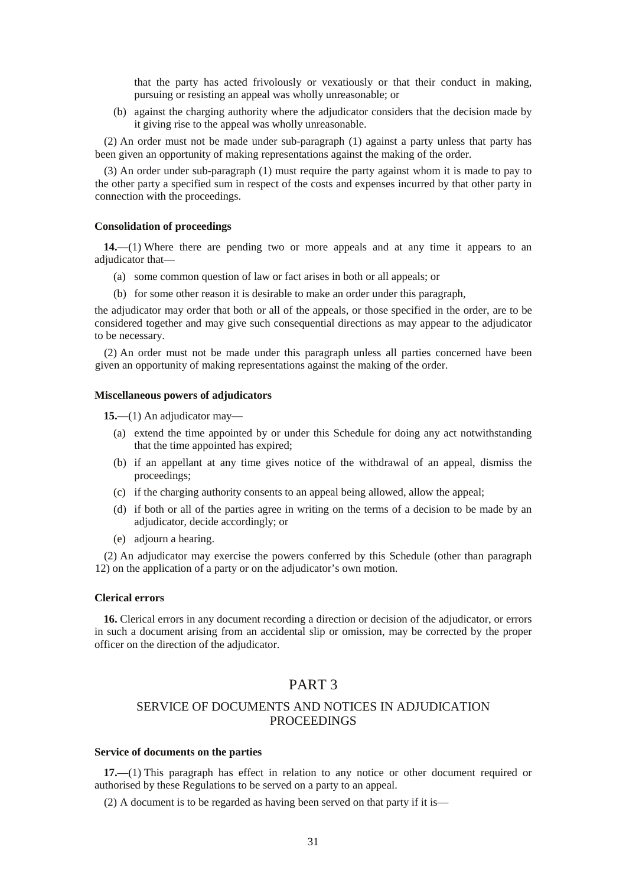that the party has acted frivolously or vexatiously or that their conduct in making, pursuing or resisting an appeal was wholly unreasonable; or

(b) against the charging authority where the adjudicator considers that the decision made by it giving rise to the appeal was wholly unreasonable.

(2) An order must not be made under sub-paragraph (1) against a party unless that party has been given an opportunity of making representations against the making of the order.

(3) An order under sub-paragraph (1) must require the party against whom it is made to pay to the other party a specified sum in respect of the costs and expenses incurred by that other party in connection with the proceedings.

#### **Consolidation of proceedings**

**14.**—(1) Where there are pending two or more appeals and at any time it appears to an adjudicator that—

- (a) some common question of law or fact arises in both or all appeals; or
- (b) for some other reason it is desirable to make an order under this paragraph,

the adjudicator may order that both or all of the appeals, or those specified in the order, are to be considered together and may give such consequential directions as may appear to the adjudicator to be necessary.

(2) An order must not be made under this paragraph unless all parties concerned have been given an opportunity of making representations against the making of the order.

#### **Miscellaneous powers of adjudicators**

**15.**—(1) An adjudicator may—

- (a) extend the time appointed by or under this Schedule for doing any act notwithstanding that the time appointed has expired;
- (b) if an appellant at any time gives notice of the withdrawal of an appeal, dismiss the proceedings;
- (c) if the charging authority consents to an appeal being allowed, allow the appeal;
- (d) if both or all of the parties agree in writing on the terms of a decision to be made by an adjudicator, decide accordingly; or
- (e) adjourn a hearing.

(2) An adjudicator may exercise the powers conferred by this Schedule (other than paragraph 12) on the application of a party or on the adjudicator's own motion.

### **Clerical errors**

**16.** Clerical errors in any document recording a direction or decision of the adjudicator, or errors in such a document arising from an accidental slip or omission, may be corrected by the proper officer on the direction of the adjudicator.

## PART 3

### SERVICE OF DOCUMENTS AND NOTICES IN ADJUDICATION **PROCEEDINGS**

#### **Service of documents on the parties**

**17.**—(1) This paragraph has effect in relation to any notice or other document required or authorised by these Regulations to be served on a party to an appeal.

(2) A document is to be regarded as having been served on that party if it is—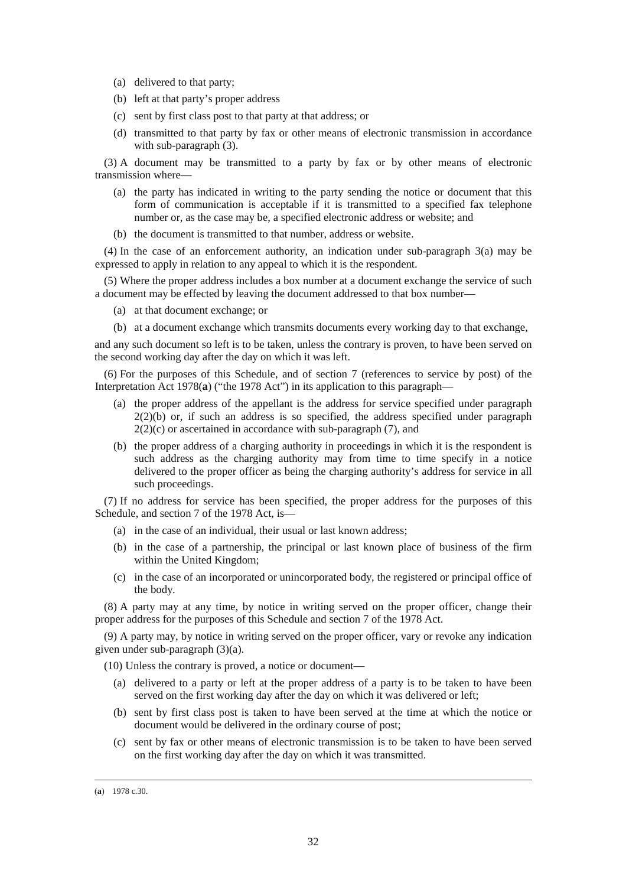- (a) delivered to that party;
- (b) left at that party's proper address
- (c) sent by first class post to that party at that address; or
- (d) transmitted to that party by fax or other means of electronic transmission in accordance with sub-paragraph (3).

(3) A document may be transmitted to a party by fax or by other means of electronic transmission where—

- (a) the party has indicated in writing to the party sending the notice or document that this form of communication is acceptable if it is transmitted to a specified fax telephone number or, as the case may be, a specified electronic address or website; and
- (b) the document is transmitted to that number, address or website.

(4) In the case of an enforcement authority, an indication under sub-paragraph 3(a) may be expressed to apply in relation to any appeal to which it is the respondent.

(5) Where the proper address includes a box number at a document exchange the service of such a document may be effected by leaving the document addressed to that box number—

- (a) at that document exchange; or
- (b) at a document exchange which transmits documents every working day to that exchange,

and any such document so left is to be taken, unless the contrary is proven, to have been served on the second working day after the day on which it was left.

(6) For the purposes of this Schedule, and of section 7 (references to service by post) of the Interpretation Act 1978(**a**) ("the 1978 Act") in its application to this paragraph—

- (a) the proper address of the appellant is the address for service specified under paragraph  $2(2)(b)$  or, if such an address is so specified, the address specified under paragraph  $2(2)(c)$  or ascertained in accordance with sub-paragraph  $(7)$ , and
- (b) the proper address of a charging authority in proceedings in which it is the respondent is such address as the charging authority may from time to time specify in a notice delivered to the proper officer as being the charging authority's address for service in all such proceedings.

(7) If no address for service has been specified, the proper address for the purposes of this Schedule, and section 7 of the 1978 Act, is—

- (a) in the case of an individual, their usual or last known address;
- (b) in the case of a partnership, the principal or last known place of business of the firm within the United Kingdom;
- (c) in the case of an incorporated or unincorporated body, the registered or principal office of the body.

(8) A party may at any time, by notice in writing served on the proper officer, change their proper address for the purposes of this Schedule and section 7 of the 1978 Act.

(9) A party may, by notice in writing served on the proper officer, vary or revoke any indication given under sub-paragraph (3)(a).

(10) Unless the contrary is proved, a notice or document—

- (a) delivered to a party or left at the proper address of a party is to be taken to have been served on the first working day after the day on which it was delivered or left;
- (b) sent by first class post is taken to have been served at the time at which the notice or document would be delivered in the ordinary course of post;
- (c) sent by fax or other means of electronic transmission is to be taken to have been served on the first working day after the day on which it was transmitted.

<sup>(</sup>**a**) 1978 c.30.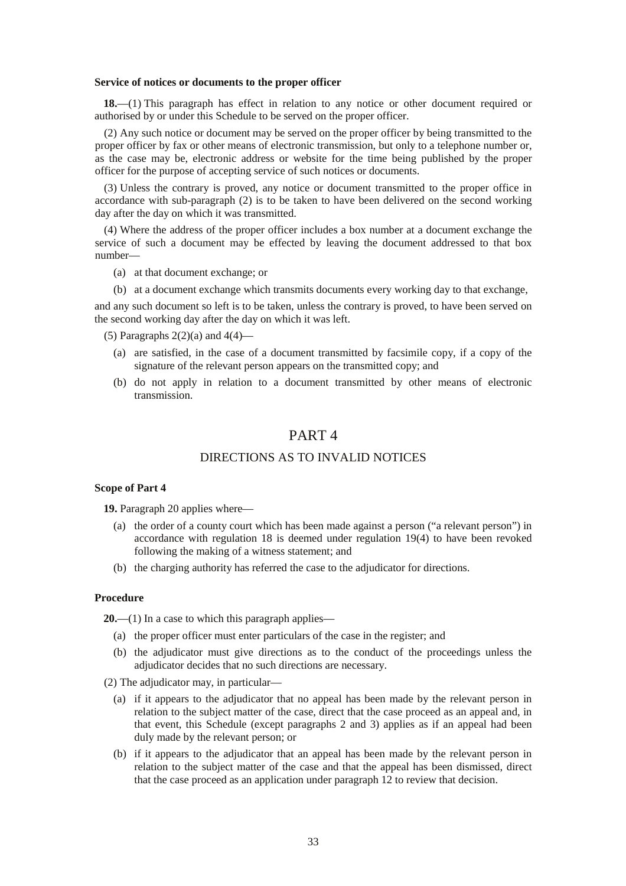#### **Service of notices or documents to the proper officer**

**18.**—(1) This paragraph has effect in relation to any notice or other document required or authorised by or under this Schedule to be served on the proper officer.

(2) Any such notice or document may be served on the proper officer by being transmitted to the proper officer by fax or other means of electronic transmission, but only to a telephone number or, as the case may be, electronic address or website for the time being published by the proper officer for the purpose of accepting service of such notices or documents.

(3) Unless the contrary is proved, any notice or document transmitted to the proper office in accordance with sub-paragraph (2) is to be taken to have been delivered on the second working day after the day on which it was transmitted.

(4) Where the address of the proper officer includes a box number at a document exchange the service of such a document may be effected by leaving the document addressed to that box number—

- (a) at that document exchange; or
- (b) at a document exchange which transmits documents every working day to that exchange,

and any such document so left is to be taken, unless the contrary is proved, to have been served on the second working day after the day on which it was left.

(5) Paragraphs  $2(2)(a)$  and  $4(4)$ —

- (a) are satisfied, in the case of a document transmitted by facsimile copy, if a copy of the signature of the relevant person appears on the transmitted copy; and
- (b) do not apply in relation to a document transmitted by other means of electronic transmission.

## PART 4

### DIRECTIONS AS TO INVALID NOTICES

### **Scope of Part 4**

**19.** Paragraph 20 applies where—

- (a) the order of a county court which has been made against a person ("a relevant person") in accordance with regulation 18 is deemed under regulation 19(4) to have been revoked following the making of a witness statement; and
- (b) the charging authority has referred the case to the adjudicator for directions.

### **Procedure**

**20.**—(1) In a case to which this paragraph applies—

- (a) the proper officer must enter particulars of the case in the register; and
- (b) the adjudicator must give directions as to the conduct of the proceedings unless the adjudicator decides that no such directions are necessary.
- (2) The adjudicator may, in particular—
	- (a) if it appears to the adjudicator that no appeal has been made by the relevant person in relation to the subject matter of the case, direct that the case proceed as an appeal and, in that event, this Schedule (except paragraphs 2 and 3) applies as if an appeal had been duly made by the relevant person; or
	- (b) if it appears to the adjudicator that an appeal has been made by the relevant person in relation to the subject matter of the case and that the appeal has been dismissed, direct that the case proceed as an application under paragraph 12 to review that decision.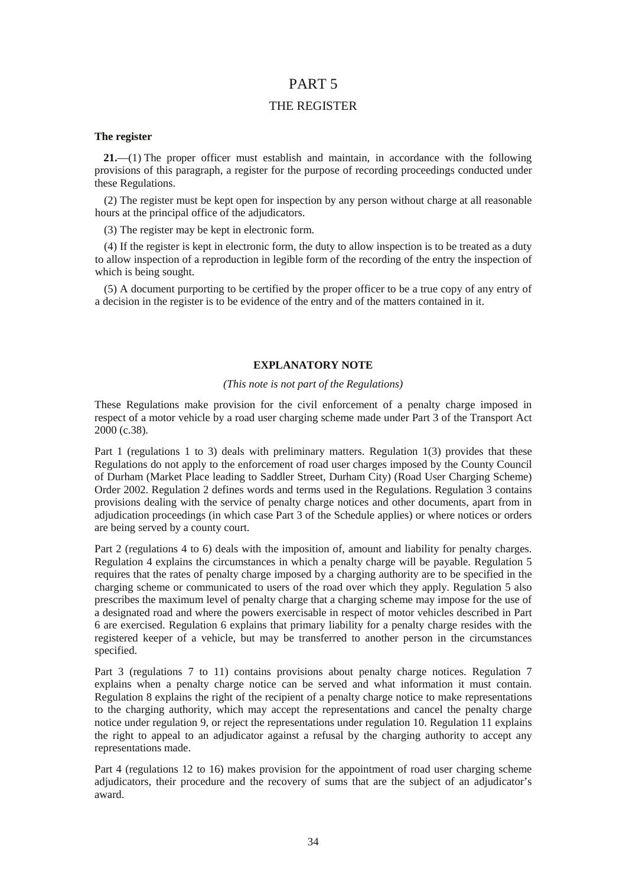## PART 5

### THE REGISTER

### **The register**

**21.**—(1) The proper officer must establish and maintain, in accordance with the following provisions of this paragraph, a register for the purpose of recording proceedings conducted under these Regulations.

(2) The register must be kept open for inspection by any person without charge at all reasonable hours at the principal office of the adjudicators.

(3) The register may be kept in electronic form.

(4) If the register is kept in electronic form, the duty to allow inspection is to be treated as a duty to allow inspection of a reproduction in legible form of the recording of the entry the inspection of which is being sought.

(5) A document purporting to be certified by the proper officer to be a true copy of any entry of a decision in the register is to be evidence of the entry and of the matters contained in it.

### **EXPLANATORY NOTE**

#### *(This note is not part of the Regulations)*

These Regulations make provision for the civil enforcement of a penalty charge imposed in respect of a motor vehicle by a road user charging scheme made under Part 3 of the Transport Act 2000 (c.38).

Part 1 (regulations 1 to 3) deals with preliminary matters. Regulation 1(3) provides that these Regulations do not apply to the enforcement of road user charges imposed by the County Council of Durham (Market Place leading to Saddler Street, Durham City) (Road User Charging Scheme) Order 2002. Regulation 2 defines words and terms used in the Regulations. Regulation 3 contains provisions dealing with the service of penalty charge notices and other documents, apart from in adjudication proceedings (in which case Part 3 of the Schedule applies) or where notices or orders are being served by a county court.

Part 2 (regulations 4 to 6) deals with the imposition of, amount and liability for penalty charges. Regulation 4 explains the circumstances in which a penalty charge will be payable. Regulation 5 requires that the rates of penalty charge imposed by a charging authority are to be specified in the charging scheme or communicated to users of the road over which they apply. Regulation 5 also prescribes the maximum level of penalty charge that a charging scheme may impose for the use of a designated road and where the powers exercisable in respect of motor vehicles described in Part 6 are exercised. Regulation 6 explains that primary liability for a penalty charge resides with the registered keeper of a vehicle, but may be transferred to another person in the circumstances specified.

Part 3 (regulations 7 to 11) contains provisions about penalty charge notices. Regulation 7 explains when a penalty charge notice can be served and what information it must contain. Regulation 8 explains the right of the recipient of a penalty charge notice to make representations to the charging authority, which may accept the representations and cancel the penalty charge notice under regulation 9, or reject the representations under regulation 10. Regulation 11 explains the right to appeal to an adjudicator against a refusal by the charging authority to accept any representations made.

Part 4 (regulations 12 to 16) makes provision for the appointment of road user charging scheme adjudicators, their procedure and the recovery of sums that are the subject of an adjudicator's award.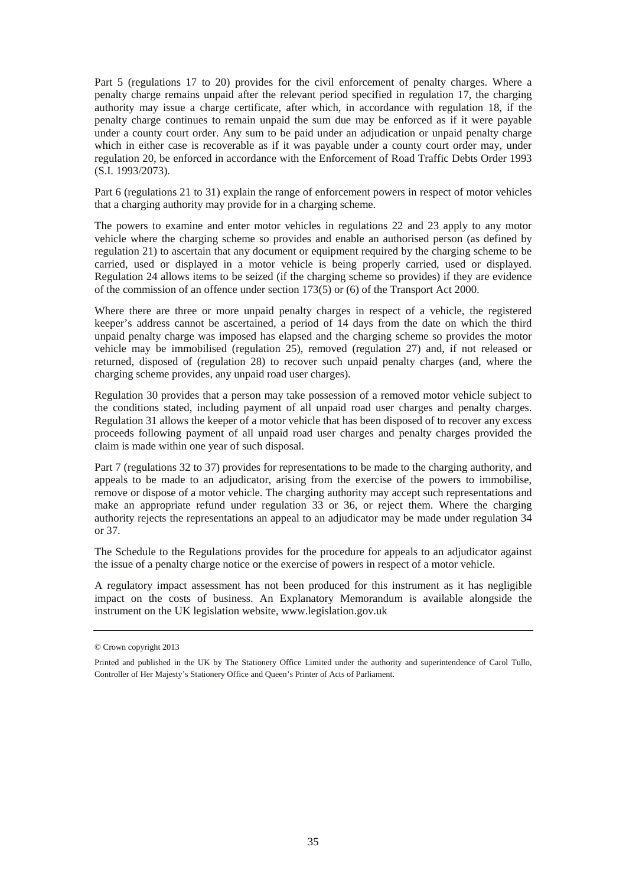Part 5 (regulations 17 to 20) provides for the civil enforcement of penalty charges. Where a penalty charge remains unpaid after the relevant period specified in regulation 17, the charging authority may issue a charge certificate, after which, in accordance with regulation 18, if the penalty charge continues to remain unpaid the sum due may be enforced as if it were payable under a county court order. Any sum to be paid under an adjudication or unpaid penalty charge which in either case is recoverable as if it was payable under a county court order may, under regulation 20, be enforced in accordance with the Enforcement of Road Traffic Debts Order 1993 (S.I. 1993/2073).

Part 6 (regulations 21 to 31) explain the range of enforcement powers in respect of motor vehicles that a charging authority may provide for in a charging scheme.

The powers to examine and enter motor vehicles in regulations 22 and 23 apply to any motor vehicle where the charging scheme so provides and enable an authorised person (as defined by regulation 21) to ascertain that any document or equipment required by the charging scheme to be carried, used or displayed in a motor vehicle is being properly carried, used or displayed. Regulation 24 allows items to be seized (if the charging scheme so provides) if they are evidence of the commission of an offence under section 173(5) or (6) of the Transport Act 2000.

Where there are three or more unpaid penalty charges in respect of a vehicle, the registered keeper's address cannot be ascertained, a period of 14 days from the date on which the third unpaid penalty charge was imposed has elapsed and the charging scheme so provides the motor vehicle may be immobilised (regulation 25), removed (regulation 27) and, if not released or returned, disposed of (regulation 28) to recover such unpaid penalty charges (and, where the charging scheme provides, any unpaid road user charges).

Regulation 30 provides that a person may take possession of a removed motor vehicle subject to the conditions stated, including payment of all unpaid road user charges and penalty charges. Regulation 31 allows the keeper of a motor vehicle that has been disposed of to recover any excess proceeds following payment of all unpaid road user charges and penalty charges provided the claim is made within one year of such disposal.

Part 7 (regulations 32 to 37) provides for representations to be made to the charging authority, and appeals to be made to an adjudicator, arising from the exercise of the powers to immobilise, remove or dispose of a motor vehicle. The charging authority may accept such representations and make an appropriate refund under regulation 33 or 36, or reject them. Where the charging authority rejects the representations an appeal to an adjudicator may be made under regulation 34 or 37.

The Schedule to the Regulations provides for the procedure for appeals to an adjudicator against the issue of a penalty charge notice or the exercise of powers in respect of a motor vehicle.

A regulatory impact assessment has not been produced for this instrument as it has negligible impact on the costs of business. An Explanatory Memorandum is available alongside the instrument on the UK legislation website, www.legislation.gov.uk

<sup>©</sup> Crown copyright 2013

Printed and published in the UK by The Stationery Office Limited under the authority and superintendence of Carol Tullo, Controller of Her Majesty's Stationery Office and Queen's Printer of Acts of Parliament.